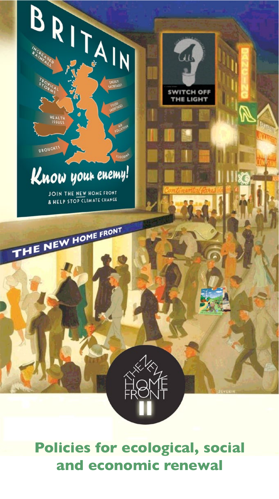

**Policies for ecological, social and economic renewal**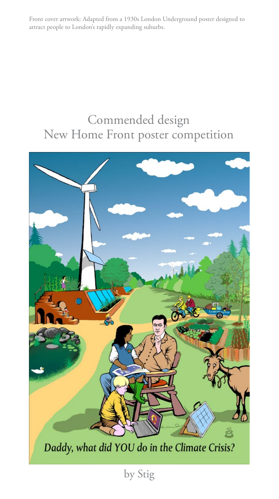Front cover artwork: Adapted from a 1930s London Underground poster designed to attract people to London's rapidly expanding suburbs.

#### Commended design New Home Front poster competition

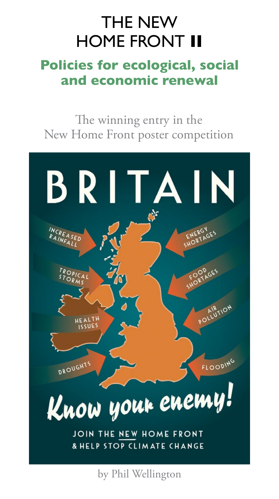#### THE NEW HOME FRONT **II**

#### **Policies for ecological, social and economic renewal**

The winning entry in the New Home Front poster competition



by Phil Wellington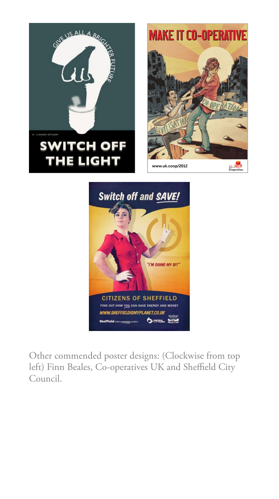







Other commended poster designs: (Clockwise from top left) Finn Beales, Co-operatives UK and Sheffield City Council.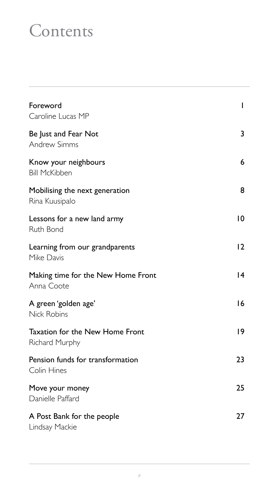### **Contents**

| Foreword<br>Caroline Lucas MP                     | T               |
|---------------------------------------------------|-----------------|
| Be Just and Fear Not<br><b>Andrew Simms</b>       | 3               |
| Know your neighbours<br><b>Bill McKibben</b>      | 6               |
| Mobilising the next generation<br>Rina Kuusipalo  | 8               |
| Lessons for a new land army<br>Ruth Bond          | 10              |
| Learning from our grandparents<br>Mike Davis      | 12              |
| Making time for the New Home Front<br>Anna Coote  | $\overline{14}$ |
| A green 'golden age'<br><b>Nick Robins</b>        | 16              |
| Taxation for the New Home Front<br>Richard Murphy | 9               |
| Pension funds for transformation<br>Colin Hines   | 23              |
| Move your money<br>Danielle Paffard               | 25              |
| A Post Bank for the people<br>Lindsay Mackie      | 27              |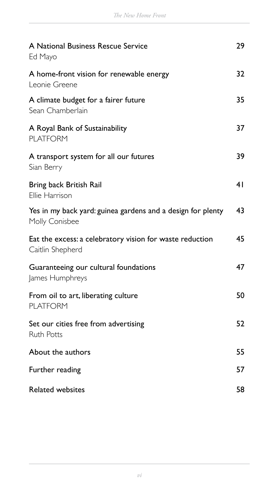| A National Business Rescue Service<br>Ed Mayo                                 | 29 |
|-------------------------------------------------------------------------------|----|
| A home-front vision for renewable energy<br>Leonie Greene                     | 32 |
| A climate budget for a fairer future<br>Sean Chamberlain                      | 35 |
| A Royal Bank of Sustainability<br><b>PLATFORM</b>                             | 37 |
| A transport system for all our futures<br>Sian Berry                          | 39 |
| Bring back British Rail<br>Ellie Harrison                                     | 41 |
| Yes in my back yard: guinea gardens and a design for plenty<br>Molly Conisbee | 43 |
| Eat the excess: a celebratory vision for waste reduction<br>Caitlin Shepherd  | 45 |
| Guaranteeing our cultural foundations<br>James Humphreys                      | 47 |
| From oil to art, liberating culture<br><b>PLATFORM</b>                        | 50 |
| Set our cities free from advertising<br><b>Ruth Potts</b>                     | 52 |
| About the authors                                                             | 55 |
| Further reading                                                               | 57 |
| <b>Related websites</b>                                                       | 58 |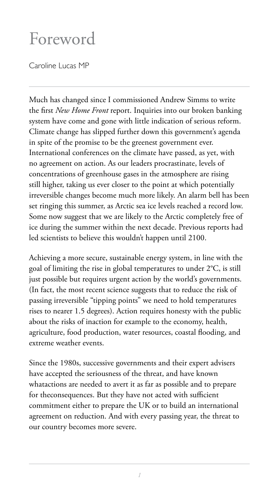### Foreword

Caroline Lucas MP

Much has changed since I commissioned Andrew Simms to write the first *New Home Front* report. Inquiries into our broken banking system have come and gone with little indication of serious reform. Climate change has slipped further down this government's agenda in spite of the promise to be the greenest government ever. International conferences on the climate have passed, as yet, with no agreement on action. As our leaders procrastinate, levels of concentrations of greenhouse gases in the atmosphere are rising still higher, taking us ever closer to the point at which potentially irreversible changes become much more likely. An alarm bell has been set ringing this summer, as Arctic sea ice levels reached a record low. Some now suggest that we are likely to the Arctic completely free of ice during the summer within the next decade. Previous reports had led scientists to believe this wouldn't happen until 2100.

Achieving a more secure, sustainable energy system, in line with the goal of limiting the rise in global temperatures to under 2°C, is still just possible but requires urgent action by the world's governments. (In fact, the most recent science suggests that to reduce the risk of passing irreversible "tipping points" we need to hold temperatures rises to nearer 1.5 degrees). Action requires honesty with the public about the risks of inaction for example to the economy, health, agriculture, food production, water resources, coastal flooding, and extreme weather events.

Since the 1980s, successive governments and their expert advisers have accepted the seriousness of the threat, and have known whatactions are needed to avert it as far as possible and to prepare for theconsequences. But they have not acted with sufficient commitment either to prepare the UK or to build an international agreement on reduction. And with every passing year, the threat to our country becomes more severe.

*1*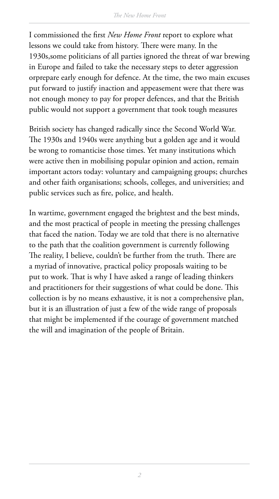I commissioned the first *New Home Front* report to explore what lessons we could take from history. There were many. In the 1930s,some politicians of all parties ignored the threat of war brewing in Europe and failed to take the necessary steps to deter aggression orprepare early enough for defence. At the time, the two main excuses put forward to justify inaction and appeasement were that there was not enough money to pay for proper defences, and that the British public would not support a government that took tough measures

British society has changed radically since the Second World War. The 1930s and 1940s were anything but a golden age and it would be wrong to romanticise those times. Yet many institutions which were active then in mobilising popular opinion and action, remain important actors today: voluntary and campaigning groups; churches and other faith organisations; schools, colleges, and universities; and public services such as fire, police, and health.

In wartime, government engaged the brightest and the best minds, and the most practical of people in meeting the pressing challenges that faced the nation. Today we are told that there is no alternative to the path that the coalition government is currently following The reality, I believe, couldn't be further from the truth. There are a myriad of innovative, practical policy proposals waiting to be put to work. That is why I have asked a range of leading thinkers and practitioners for their suggestions of what could be done. This collection is by no means exhaustive, it is not a comprehensive plan, but it is an illustration of just a few of the wide range of proposals that might be implemented if the courage of government matched the will and imagination of the people of Britain.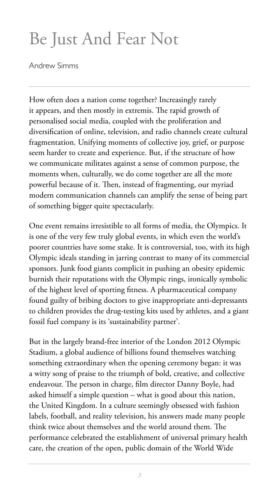# Be Just And Fear Not

Andrew Simms

How often does a nation come together? Increasingly rarely it appears, and then mostly in extremis. The rapid growth of personalised social media, coupled with the proliferation and diversification of online, television, and radio channels create cultural fragmentation. Unifying moments of collective joy, grief, or purpose seem harder to create and experience. But, if the structure of how we communicate militates against a sense of common purpose, the moments when, culturally, we do come together are all the more powerful because of it. Then, instead of fragmenting, our myriad modern communication channels can amplify the sense of being part of something bigger quite spectacularly.

One event remains irresistible to all forms of media, the Olympics. It is one of the very few truly global events, in which even the world's poorer countries have some stake. It is controversial, too, with its high Olympic ideals standing in jarring contrast to many of its commercial sponsors. Junk food giants complicit in pushing an obesity epidemic burnish their reputations with the Olympic rings, ironically symbolic of the highest level of sporting fitness. A pharmaceutical company found guilty of bribing doctors to give inappropriate anti-depressants to children provides the drug-testing kits used by athletes, and a giant fossil fuel company is its 'sustainability partner'.

But in the largely brand-free interior of the London 2012 Olympic Stadium, a global audience of billions found themselves watching something extraordinary when the opening ceremony began: it was a witty song of praise to the triumph of bold, creative, and collective endeavour. The person in charge, film director Danny Boyle, had asked himself a simple question – what is good about this nation, the United Kingdom. In a culture seemingly obsessed with fashion labels, football, and reality television, his answers made many people think twice about themselves and the world around them. The performance celebrated the establishment of universal primary health care, the creation of the open, public domain of the World Wide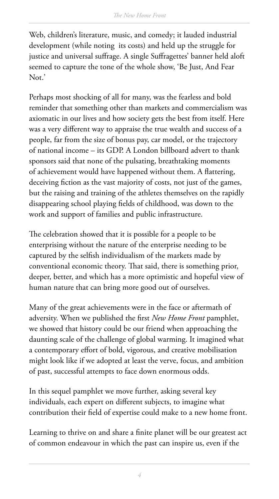Web, children's literature, music, and comedy; it lauded industrial development (while noting its costs) and held up the struggle for justice and universal suffrage. A single Suffragettes' banner held aloft seemed to capture the tone of the whole show, 'Be Just, And Fear Not.'

Perhaps most shocking of all for many, was the fearless and bold reminder that something other than markets and commercialism was axiomatic in our lives and how society gets the best from itself. Here was a very different way to appraise the true wealth and success of a people, far from the size of bonus pay, car model, or the trajectory of national income – its GDP. A London billboard advert to thank sponsors said that none of the pulsating, breathtaking moments of achievement would have happened without them. A flattering, deceiving fiction as the vast majority of costs, not just of the games, but the raising and training of the athletes themselves on the rapidly disappearing school playing fields of childhood, was down to the work and support of families and public infrastructure.

The celebration showed that it is possible for a people to be enterprising without the nature of the enterprise needing to be captured by the selfish individualism of the markets made by conventional economic theory. That said, there is something prior, deeper, better, and which has a more optimistic and hopeful view of human nature that can bring more good out of ourselves.

Many of the great achievements were in the face or aftermath of adversity. When we published the first *New Home Front* pamphlet, we showed that history could be our friend when approaching the daunting scale of the challenge of global warming. It imagined what a contemporary effort of bold, vigorous, and creative mobilisation might look like if we adopted at least the verve, focus, and ambition of past, successful attempts to face down enormous odds.

In this sequel pamphlet we move further, asking several key individuals, each expert on different subjects, to imagine what contribution their field of expertise could make to a new home front.

Learning to thrive on and share a finite planet will be our greatest act of common endeavour in which the past can inspire us, even if the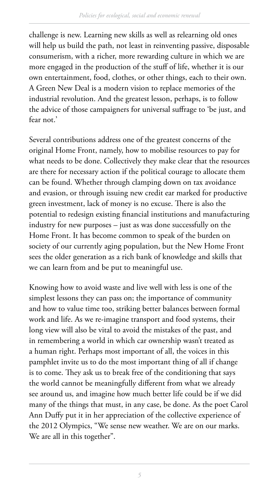challenge is new. Learning new skills as well as relearning old ones will help us build the path, not least in reinventing passive, disposable consumerism, with a richer, more rewarding culture in which we are more engaged in the production of the stuff of life, whether it is our own entertainment, food, clothes, or other things, each to their own. A Green New Deal is a modern vision to replace memories of the industrial revolution. And the greatest lesson, perhaps, is to follow the advice of those campaigners for universal suffrage to 'be just, and fear not.'

Several contributions address one of the greatest concerns of the original Home Front, namely, how to mobilise resources to pay for what needs to be done. Collectively they make clear that the resources are there for necessary action if the political courage to allocate them can be found. Whether through clamping down on tax avoidance and evasion, or through issuing new credit ear marked for productive green investment, lack of money is no excuse. There is also the potential to redesign existing financial institutions and manufacturing industry for new purposes – just as was done successfully on the Home Front. It has become common to speak of the burden on society of our currently aging population, but the New Home Front sees the older generation as a rich bank of knowledge and skills that we can learn from and be put to meaningful use.

Knowing how to avoid waste and live well with less is one of the simplest lessons they can pass on; the importance of community and how to value time too, striking better balances between formal work and life. As we re-imagine transport and food systems, their long view will also be vital to avoid the mistakes of the past, and in remembering a world in which car ownership wasn't treated as a human right. Perhaps most important of all, the voices in this pamphlet invite us to do the most important thing of all if change is to come. They ask us to break free of the conditioning that says the world cannot be meaningfully different from what we already see around us, and imagine how much better life could be if we did many of the things that must, in any case, be done. As the poet Carol Ann Duffy put it in her appreciation of the collective experience of the 2012 Olympics, "We sense new weather. We are on our marks. We are all in this together".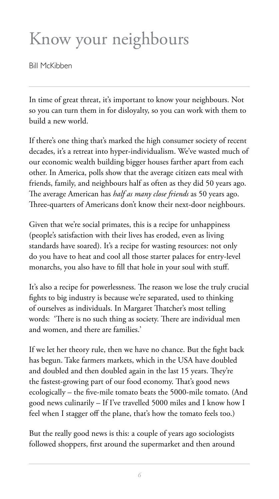# Know your neighbours

Bill McKibben

In time of great threat, it's important to know your neighbours. Not so you can turn them in for disloyalty, so you can work with them to build a new world.

If there's one thing that's marked the high consumer society of recent decades, it's a retreat into hyper-individualism. We've wasted much of our economic wealth building bigger houses farther apart from each other. In America, polls show that the average citizen eats meal with friends, family, and neighbours half as often as they did 50 years ago. The average American has *half as many close friends* as 50 years ago. Three-quarters of Americans don't know their next-door neighbours.

Given that we're social primates, this is a recipe for unhappiness (people's satisfaction with their lives has eroded, even as living standards have soared). It's a recipe for wasting resources: not only do you have to heat and cool all those starter palaces for entry-level monarchs, you also have to fill that hole in your soul with stuff.

It's also a recipe for powerlessness. The reason we lose the truly crucial fights to big industry is because we're separated, used to thinking of ourselves as individuals. In Margaret Thatcher's most telling words: 'There is no such thing as society. There are individual men and women, and there are families.'

If we let her theory rule, then we have no chance. But the fight back has begun. Take farmers markets, which in the USA have doubled and doubled and then doubled again in the last 15 years. They're the fastest-growing part of our food economy. That's good news ecologically – the five-mile tomato beats the 5000-mile tomato. (And good news culinarily – If I've travelled 5000 miles and I know how I feel when I stagger off the plane, that's how the tomato feels too.)

But the really good news is this: a couple of years ago sociologists followed shoppers, first around the supermarket and then around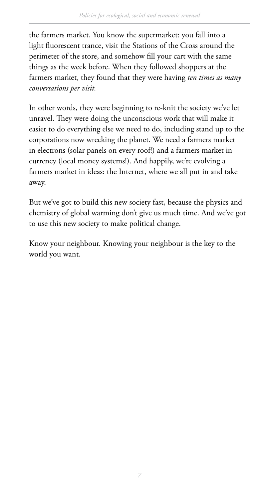the farmers market. You know the supermarket: you fall into a light fluorescent trance, visit the Stations of the Cross around the perimeter of the store, and somehow fill your cart with the same things as the week before. When they followed shoppers at the farmers market, they found that they were having *ten times as many conversations per visit.*

In other words, they were beginning to re-knit the society we've let unravel. They were doing the unconscious work that will make it easier to do everything else we need to do, including stand up to the corporations now wrecking the planet. We need a farmers market in electrons (solar panels on every roof!) and a farmers market in currency (local money systems!). And happily, we're evolving a farmers market in ideas: the Internet, where we all put in and take away.

But we've got to build this new society fast, because the physics and chemistry of global warming don't give us much time. And we've got to use this new society to make political change.

Know your neighbour. Knowing your neighbour is the key to the world you want.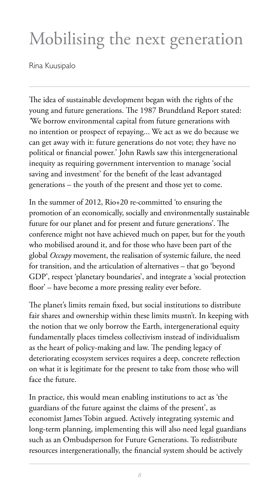# Mobilising the next generation

Rina Kuusipalo

The idea of sustainable development began with the rights of the young and future generations. The 1987 Brundtland Report stated: *'*We borrow environmental capital from future generations with no intention or prospect of repaying... We act as we do because we can get away with it: future generations do not vote; they have no political or financial power.' John Rawls saw this intergenerational inequity as requiring government intervention to manage 'social saving and investment' for the benefit of the least advantaged generations – the youth of the present and those yet to come.

In the summer of 2012, Rio+20 re-committed 'to ensuring the promotion of an economically, socially and environmentally sustainable future for our planet and for present and future generations'. The conference might not have achieved much on paper, but for the youth who mobilised around it, and for those who have been part of the global *Occupy* movement, the realisation of systemic failure, the need for transition, and the articulation of alternatives – that go 'beyond GDP', respect 'planetary boundaries', and integrate a 'social protection floor' – have become a more pressing reality ever before.

The planet's limits remain fixed, but social institutions to distribute fair shares and ownership within these limits mustn't. In keeping with the notion that we only borrow the Earth, intergenerational equity fundamentally places timeless collectivism instead of individualism as the heart of policy-making and law. The pending legacy of deteriorating ecosystem services requires a deep, concrete reflection on what it is legitimate for the present to take from those who will face the future.

In practice, this would mean enabling institutions to act as 'the guardians of the future against the claims of the present', as economist James Tobin argued. Actively integrating systemic and long-term planning, implementing this will also need legal guardians such as an Ombudsperson for Future Generations. To redistribute resources intergenerationally, the financial system should be actively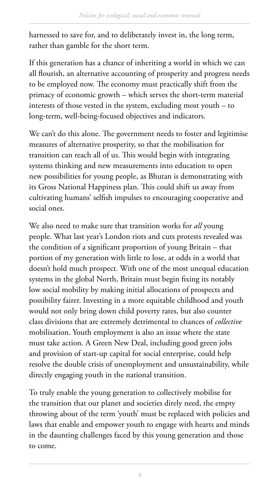harnessed to save for, and to deliberately invest in, the long term, rather than gamble for the short term.

If this generation has a chance of inheriting a world in which we can all flourish, an alternative accounting of prosperity and progress needs to be employed now. The economy must practically shift from the primacy of economic growth – which serves the short-term material interests of those vested in the system, excluding most youth – to long-term, well-being-focused objectives and indicators.

We can't do this alone. The government needs to foster and legitimise measures of alternative prosperity, so that the mobilisation for transition can reach all of us. This would begin with integrating systems thinking and new measurements into education to open new possibilities for young people, as Bhutan is demonstrating with its Gross National Happiness plan. This could shift us away from cultivating humans' selfish impulses to encouraging cooperative and social ones.

We also need to make sure that transition works for *all* young people. What last year's London riots and cuts protests revealed was the condition of a significant proportion of young Britain  $-$  that portion of my generation with little to lose, at odds in a world that doesn't hold much prospect. With one of the most unequal education systems in the global North, Britain must begin fixing its notably low social mobility by making initial allocations of prospects and possibility fairer. Investing in a more equitable childhood and youth would not only bring down child poverty rates, but also counter class divisions that are extremely detrimental to chances of *collective* mobilisation. Youth employment is also an issue where the state must take action. A Green New Deal, including good green jobs and provision of start-up capital for social enterprise, could help resolve the double crisis of unemployment and unsustainability, while directly engaging youth in the national transition.

To truly enable the young generation to collectively mobilise for the transition that our planet and societies direly need, the empty throwing about of the term 'youth' must be replaced with policies and laws that enable and empower youth to engage with hearts and minds in the daunting challenges faced by this young generation and those to come.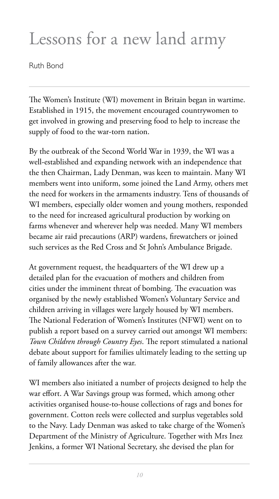### Lessons for a new land army

Ruth Bond

The Women's Institute (WI) movement in Britain began in wartime. Established in 1915, the movement encouraged countrywomen to get involved in growing and preserving food to help to increase the supply of food to the war-torn nation.

By the outbreak of the Second World War in 1939, the WI was a well-established and expanding network with an independence that the then Chairman, Lady Denman, was keen to maintain. Many WI members went into uniform, some joined the Land Army, others met the need for workers in the armaments industry. Tens of thousands of WI members, especially older women and young mothers, responded to the need for increased agricultural production by working on farms whenever and wherever help was needed. Many WI members became air raid precautions (ARP) wardens, firewatchers or joined such services as the Red Cross and St John's Ambulance Brigade.

At government request, the headquarters of the WI drew up a detailed plan for the evacuation of mothers and children from cities under the imminent threat of bombing. The evacuation was organised by the newly established Women's Voluntary Service and children arriving in villages were largely housed by WI members. The National Federation of Women's Institutes (NFWI) went on to publish a report based on a survey carried out amongst WI members: Town Children through Country Eyes. The report stimulated a national debate about support for families ultimately leading to the setting up of family allowances after the war.

WI members also initiated a number of projects designed to help the war effort. A War Savings group was formed, which among other activities organised house-to-house collections of rags and bones for government. Cotton reels were collected and surplus vegetables sold to the Navy. Lady Denman was asked to take charge of the Women's Department of the Ministry of Agriculture. Together with Mrs Inez Jenkins, a former WI National Secretary, she devised the plan for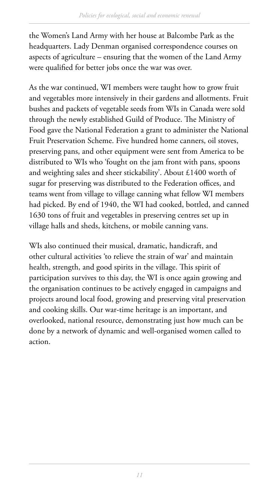the Women's Land Army with her house at Balcombe Park as the headquarters. Lady Denman organised correspondence courses on aspects of agriculture – ensuring that the women of the Land Army were qualified for better jobs once the war was over.

As the war continued, WI members were taught how to grow fruit and vegetables more intensively in their gardens and allotments. Fruit bushes and packets of vegetable seeds from WIs in Canada were sold through the newly established Guild of Produce. The Ministry of Food gave the National Federation a grant to administer the National Fruit Preservation Scheme. Five hundred home canners, oil stoves, preserving pans, and other equipment were sent from America to be distributed to WIs who 'fought on the jam front with pans, spoons and weighting sales and sheer stickability'. About £1400 worth of sugar for preserving was distributed to the Federation offices, and teams went from village to village canning what fellow WI members had picked. By end of 1940, the WI had cooked, bottled, and canned 1630 tons of fruit and vegetables in preserving centres set up in village halls and sheds, kitchens, or mobile canning vans.

WIs also continued their musical, dramatic, handicraft, and other cultural activities 'to relieve the strain of war' and maintain health, strength, and good spirits in the village. This spirit of participation survives to this day, the WI is once again growing and the organisation continues to be actively engaged in campaigns and projects around local food, growing and preserving vital preservation and cooking skills. Our war-time heritage is an important, and overlooked, national resource, demonstrating just how much can be done by a network of dynamic and well-organised women called to action.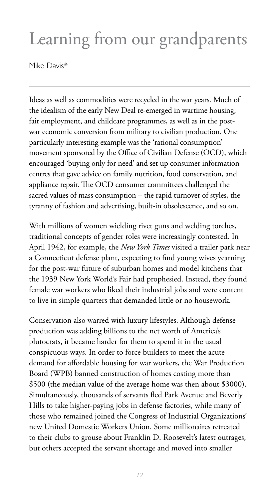# Learning from our grandparents

Mike Davis\*

Ideas as well as commodities were recycled in the war years. Much of the idealism of the early New Deal re-emerged in wartime housing, fair employment, and childcare programmes, as well as in the postwar economic conversion from military to civilian production. One particularly interesting example was the 'rational consumption' movement sponsored by the Office of Civilian Defense (OCD), which encouraged 'buying only for need' and set up consumer information centres that gave advice on family nutrition, food conservation, and appliance repair. The OCD consumer committees challenged the sacred values of mass consumption – the rapid turnover of styles, the tyranny of fashion and advertising, built-in obsolescence, and so on.

With millions of women wielding rivet guns and welding torches, traditional concepts of gender roles were increasingly contested. In April 1942, for example, the *New York Times* visited a trailer park near a Connecticut defense plant, expecting to find young wives yearning for the post-war future of suburban homes and model kitchens that the 1939 New York World's Fair had prophesied. Instead, they found female war workers who liked their industrial jobs and were content to live in simple quarters that demanded little or no housework.

Conservation also warred with luxury lifestyles. Although defense production was adding billions to the net worth of America's plutocrats, it became harder for them to spend it in the usual conspicuous ways. In order to force builders to meet the acute demand for affordable housing for war workers, the War Production Board (WPB) banned construction of homes costing more than \$500 (the median value of the average home was then about \$3000). Simultaneously, thousands of servants fled Park Avenue and Beverly Hills to take higher-paying jobs in defense factories, while many of those who remained joined the Congress of Industrial Organizations' new United Domestic Workers Union. Some millionaires retreated to their clubs to grouse about Franklin D. Roosevelt's latest outrages, but others accepted the servant shortage and moved into smaller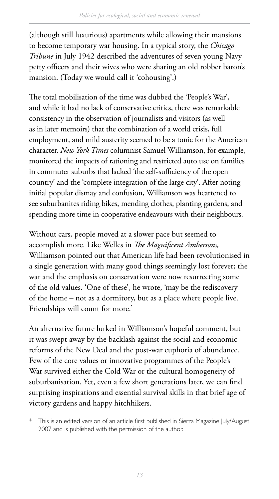(although still luxurious) apartments while allowing their mansions to become temporary war housing. In a typical story, the *Chicago Tribune* in July 1942 described the adventures of seven young Navy petty officers and their wives who were sharing an old robber baron's mansion. (Today we would call it 'cohousing'.)

The total mobilisation of the time was dubbed the 'People's War', and while it had no lack of conservative critics, there was remarkable consistency in the observation of journalists and visitors (as well as in later memoirs) that the combination of a world crisis, full employment, and mild austerity seemed to be a tonic for the American character. *New York Times* columnist Samuel Williamson, for example, monitored the impacts of rationing and restricted auto use on families in commuter suburbs that lacked 'the self-sufficiency of the open country' and the 'complete integration of the large city'. After noting initial popular dismay and confusion, Williamson was heartened to see suburbanites riding bikes, mending clothes, planting gardens, and spending more time in cooperative endeavours with their neighbours.

Without cars, people moved at a slower pace but seemed to accomplish more. Like Welles in *The Magnificent Ambersons*, Williamson pointed out that American life had been revolutionised in a single generation with many good things seemingly lost forever; the war and the emphasis on conservation were now resurrecting some of the old values. 'One of these', he wrote, 'may be the rediscovery of the home – not as a dormitory, but as a place where people live. Friendships will count for more.'

An alternative future lurked in Williamson's hopeful comment, but it was swept away by the backlash against the social and economic reforms of the New Deal and the post-war euphoria of abundance. Few of the core values or innovative programmes of the People's War survived either the Cold War or the cultural homogeneity of suburbanisation. Yet, even a few short generations later, we can find surprising inspirations and essential survival skills in that brief age of victory gardens and happy hitchhikers.

\* This is an edited version of an article first published in Sierra Magazine July/August 2007 and is published with the permission of the author.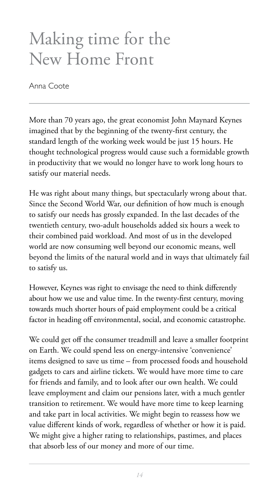# Making time for the New Home Front

Anna Coote

More than 70 years ago, the great economist John Maynard Keynes imagined that by the beginning of the twenty-first century, the standard length of the working week would be just 15 hours. He thought technological progress would cause such a formidable growth in productivity that we would no longer have to work long hours to satisfy our material needs.

He was right about many things, but spectacularly wrong about that. Since the Second World War, our definition of how much is enough to satisfy our needs has grossly expanded. In the last decades of the twentieth century, two-adult households added six hours a week to their combined paid workload. And most of us in the developed world are now consuming well beyond our economic means, well beyond the limits of the natural world and in ways that ultimately fail to satisfy us.

However, Keynes was right to envisage the need to think differently about how we use and value time. In the twenty-first century, moving towards much shorter hours of paid employment could be a critical factor in heading off environmental, social, and economic catastrophe.

We could get off the consumer treadmill and leave a smaller footprint on Earth. We could spend less on energy-intensive 'convenience' items designed to save us time – from processed foods and household gadgets to cars and airline tickets. We would have more time to care for friends and family, and to look after our own health. We could leave employment and claim our pensions later, with a much gentler transition to retirement. We would have more time to keep learning and take part in local activities. We might begin to reassess how we value different kinds of work, regardless of whether or how it is paid. We might give a higher rating to relationships, pastimes, and places that absorb less of our money and more of our time.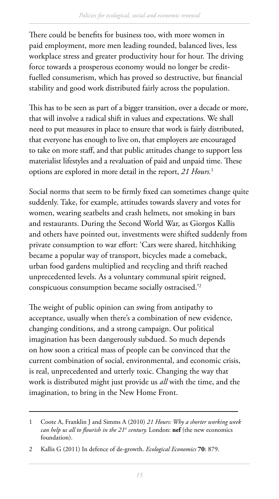There could be benefits for business too, with more women in paid employment, more men leading rounded, balanced lives, less workplace stress and greater productivity hour for hour. The driving force towards a prosperous economy would no longer be creditfuelled consumerism, which has proved so destructive, but financial stability and good work distributed fairly across the population.

This has to be seen as part of a bigger transition, over a decade or more, that will involve a radical shift in values and expectations. We shall need to put measures in place to ensure that work is fairly distributed, that everyone has enough to live on, that employers are encouraged to take on more staff, and that public attitudes change to support less materialist lifestyles and a revaluation of paid and unpaid time. These options are explored in more detail in the report, *21 Hours.*<sup>1</sup>

Social norms that seem to be firmly fixed can sometimes change quite suddenly. Take, for example, attitudes towards slavery and votes for women, wearing seatbelts and crash helmets, not smoking in bars and restaurants. During the Second World War, as Giorgos Kallis and others have pointed out, investments were shifted suddenly from private consumption to war effort: 'Cars were shared, hitchhiking became a popular way of transport, bicycles made a comeback, urban food gardens multiplied and recycling and thrift reached unprecedented levels. As a voluntary communal spirit reigned, conspicuous consumption became socially ostracised.'2

The weight of public opinion can swing from antipathy to acceptance, usually when there's a combination of new evidence, changing conditions, and a strong campaign. Our political imagination has been dangerously subdued. So much depends on how soon a critical mass of people can be convinced that the current combination of social, environmental, and economic crisis, is real, unprecedented and utterly toxic. Changing the way that work is distributed might just provide us *all* with the time, and the imagination, to bring in the New Home Front.

<sup>1</sup> Coote A, Franklin J and Simms A (2010) *21 Hours: Why a shorter working week can help us all to flourish in the 21<sup>st</sup> century.* London: **nef** (the new economics foundation).

<sup>2</sup> Kallis G (2011) In defence of de-growth. *Ecological Economics* **70**: 879.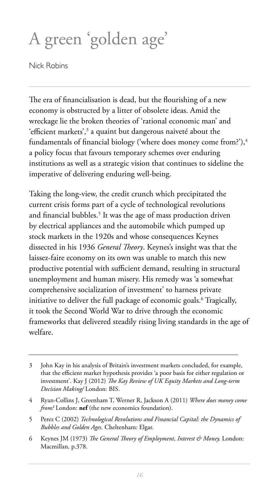# A green 'golden age'

Nick Robins

The era of financialisation is dead, but the flourishing of a new economy is obstructed by a litter of obsolete ideas. Amid the wreckage lie the broken theories of 'rational economic man' and 'efficient markets',<sup>3</sup> a quaint but dangerous naiveté about the fundamentals of financial biology ('where does money come from?'), $\frac{4}{3}$ a policy focus that favours temporary schemes over enduring institutions as well as a strategic vision that continues to sideline the imperative of delivering enduring well-being.

Taking the long-view, the credit crunch which precipitated the current crisis forms part of a cycle of technological revolutions and financial bubbles.<sup>5</sup> It was the age of mass production driven by electrical appliances and the automobile which pumped up stock markets in the 1920s and whose consequences Keynes dissected in his 1936 *General Theory*. Keynes's insight was that the laissez-faire economy on its own was unable to match this new productive potential with sufficient demand, resulting in structural unemployment and human misery. His remedy was 'a somewhat comprehensive socialization of investment' to harness private initiative to deliver the full package of economic goals.6 Tragically, it took the Second World War to drive through the economic frameworks that delivered steadily rising living standards in the age of welfare.

<sup>3</sup> John Kay in his analysis of Britain's investment markets concluded, for example, that the efficient market hypothesis provides 'a poor basis for either regulation or investment'. Kay J (2012) *The Kay Review of UK Equity Markets and Long-term Decision Making/* London: BIS.

<sup>4</sup> Ryan-Collins J, Greenham T, Werner R, Jackson A (2011) *Where does money come from?* London: **nef** (the new economics foundation).

<sup>5</sup> Perez C (2002) *Technological Revolutions and Financial Capital: the Dynamics of Bubbles and Golden Ages.* Cheltenham: Elgar.

<sup>6</sup> Keynes JM (1973) *The General Theory of Employment, Interest & Money.* London: Macmillan, p.378.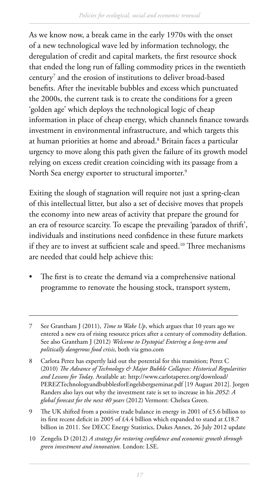As we know now, a break came in the early 1970s with the onset of a new technological wave led by information technology, the deregulation of credit and capital markets, the first resource shock that ended the long run of falling commodity prices in the twentieth century7 and the erosion of institutions to deliver broad-based benefits. After the inevitable bubbles and excess which punctuated the 2000s, the current task is to create the conditions for a green 'golden age' which deploys the technological logic of cheap information in place of cheap energy, which channels finance towards investment in environmental infrastructure, and which targets this at human priorities at home and abroad.<sup>8</sup> Britain faces a particular urgency to move along this path given the failure of its growth model relying on excess credit creation coinciding with its passage from a North Sea energy exporter to structural importer.<sup>9</sup>

Exiting the slough of stagnation will require not just a spring-clean of this intellectual litter, but also a set of decisive moves that propels the economy into new areas of activity that prepare the ground for an era of resource scarcity. To escape the prevailing 'paradox of thrift', individuals and institutions need confidence in these future markets if they are to invest at sufficient scale and speed.<sup>10</sup> Three mechanisms are needed that could help achieve this:

The first is to create the demand via a comprehensive national programme to renovate the housing stock, transport system,

9 !e UK shifted from a positive trade balance in energy in 2001 of £5.6 billion to its first recent deficit in 2005 of £4.4 billion which expanded to stand at £18.7 billion in 2011. See DECC Energy Statistics, Dukes Annex, 26 July 2012 update

<sup>7</sup> See Grantham J (2011), *Time to Wake Up*, which argues that 10 years ago we entered a new era of rising resource prices after a century of commodity deflation. See also Grantham J (2012) *Welcome to Dystopia! Entering a long-term and politically dangerous food crisis*, both via gmo.com

<sup>8</sup> Carlota Perez has expertly laid out the potential for this transition; Perez C (2010) *The Advance of Technology & Major Bubble Collapses: Historical Regularities and Lessons for Today*. Available at: http://www.carlotaperez.org/download/ PEREZTechnologyandbubblesforEngelsbergseminar.pdf [19 August 2012]. Jorgen Randers also lays out why the investment rate is set to increase in his *2052: A global forecast for the next 40 years* (2012) Vermont: Chelsea Green.

<sup>10</sup> Zengelis D (2012) *A strategy for restoring confidence and economic growth through green investment and innovation.* London: LSE.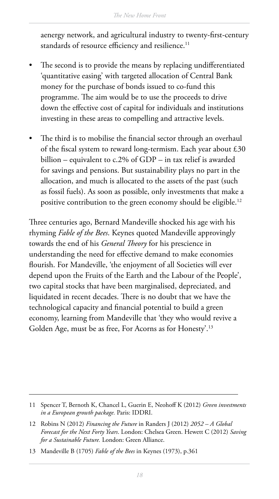aenergy network, and agricultural industry to twenty-first-century standards of resource efficiency and resilience.<sup>11</sup>

- The second is to provide the means by replacing undifferentiated 'quantitative easing' with targeted allocation of Central Bank money for the purchase of bonds issued to co-fund this programme. The aim would be to use the proceeds to drive down the effective cost of capital for individuals and institutions investing in these areas to compelling and attractive levels.
- The third is to mobilise the financial sector through an overhaul of the fiscal system to reward long-termism. Each year about  $£30$ billion – equivalent to c.2% of GDP – in tax relief is awarded for savings and pensions. But sustainability plays no part in the allocation, and much is allocated to the assets of the past (such as fossil fuels). As soon as possible, only investments that make a positive contribution to the green economy should be eligible.<sup>12</sup>

Three centuries ago, Bernard Mandeville shocked his age with his rhyming *Fable of the Bees*. Keynes quoted Mandeville approvingly towards the end of his *General Theory* for his prescience in understanding the need for effective demand to make economies flourish. For Mandeville, 'the enjoyment of all Societies will ever depend upon the Fruits of the Earth and the Labour of the People', two capital stocks that have been marginalised, depreciated, and liquidated in recent decades. There is no doubt that we have the technological capacity and financial potential to build a green economy, learning from Mandeville that 'they who would revive a Golden Age, must be as free, For Acorns as for Honesty'.13

<sup>11</sup> Spencer T, Bernoth K, Chancel L, Guerin E, Neohoff K (2012) *Green investments in a European growth package.* Paris: IDDRI.

<sup>12</sup> Robins N (2012) *Financing the Future* in Randers J (2012) *2052 – A Global Forecast for the Next Forty Years*. London: Chelsea Green. Hewett C (2012) *Saving for a Sustainable Future.* London: Green Alliance.

<sup>13</sup> Mandeville B (1705) *Fable of the Bees* in Keynes (1973), p.361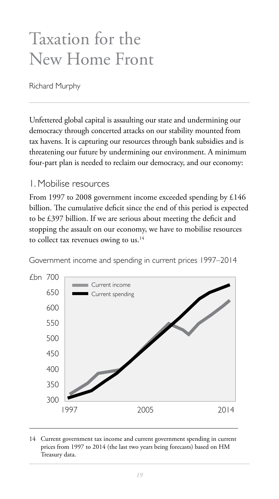## Taxation for the New Home Front

Richard Murphy

Unfettered global capital is assaulting our state and undermining our democracy through concerted attacks on our stability mounted from tax havens. It is capturing our resources through bank subsidies and is threatening our future by undermining our environment. A minimum four-part plan is needed to reclaim our democracy, and our economy:

#### 1. Mobilise resources

From 1997 to 2008 government income exceeded spending by £146 billion. The cumulative deficit since the end of this period is expected to be  $£397$  billion. If we are serious about meeting the deficit and stopping the assault on our economy, we have to mobilise resources to collect tax revenues owing to us.<sup>14</sup>

Government income and spending in current prices 1997–2014



14 Current government tax income and current government spending in current prices from 1997 to 2014 (the last two years being forecasts) based on HM Treasury data.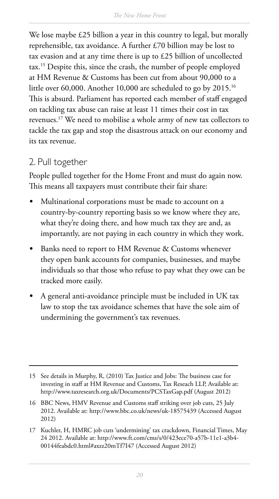We lose maybe £25 billion a year in this country to legal, but morally reprehensible, tax avoidance. A further £70 billion may be lost to tax evasion and at any time there is up to £25 billion of uncollected tax.15 Despite this, since the crash, the number of people employed at HM Revenue & Customs has been cut from about 90,000 to a little over 60,000. Another 10,000 are scheduled to go by 2015.<sup>16</sup> This is absurd. Parliament has reported each member of staff engaged on tackling tax abuse can raise at least 11 times their cost in tax revenues.17 We need to mobilise a whole army of new tax collectors to tackle the tax gap and stop the disastrous attack on our economy and its tax revenue.

#### 2. Pull together

People pulled together for the Home Front and must do again now. This means all taxpayers must contribute their fair share:

- *t* Multinational corporations must be made to account on a country-by-country reporting basis so we know where they are, what they're doing there, and how much tax they are and, as importantly, are not paying in each country in which they work.
- *t* Banks need to report to HM Revenue & Customs whenever they open bank accounts for companies, businesses, and maybe individuals so that those who refuse to pay what they owe can be tracked more easily.
- *t* A general anti-avoidance principle must be included in UK tax law to stop the tax avoidance schemes that have the sole aim of undermining the government's tax revenues.

<sup>15</sup> See details in Murphy, R, (2010) Tax Justice and Jobs: The business case for investing in staff at HM Revenue and Customs, Tax Reseach LLP, Available at: <http://www.taxresearch.org.uk/Documents/PCSTaxGap.pdf>(August 2012)

<sup>16</sup> BBC News, HMV Revenue and Customs staff striking over job cuts, 25 July 2012. Available at: <http://www.bbc.co.uk/news/uk-18575439>(Accessed August 2012)

<sup>17</sup> Kuchler, H, HMRC job cuts 'undermining' tax crackdown, Financial Times, May 24 2012. Available at: [http://www.ft.com/cms/s/0/423ece70-a57b-11e1-a3b4-](http://www.ft.com/cms/s/0/423ece70-a57b-11e1-a3b4-00144feabdc0.html#axzz20mTf7I47) [00144feabdc0.html#axzz20mTf7I47](http://www.ft.com/cms/s/0/423ece70-a57b-11e1-a3b4-00144feabdc0.html#axzz20mTf7I47) (Accessed August 2012)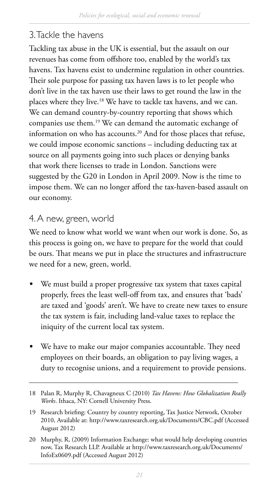#### 3. Tackle the havens

Tackling tax abuse in the UK is essential, but the assault on our revenues has come from offshore too, enabled by the world's tax havens. Tax havens exist to undermine regulation in other countries. Their sole purpose for passing tax haven laws is to let people who don't live in the tax haven use their laws to get round the law in the places where they live.18 We have to tackle tax havens, and we can. We can demand country-by-country reporting that shows which companies use them.19 We can demand the automatic exchange of information on who has accounts.20 And for those places that refuse, we could impose economic sanctions – including deducting tax at source on all payments going into such places or denying banks that work there licenses to trade in London. Sanctions were suggested by the G20 in London in April 2009. Now is the time to impose them. We can no longer afford the tax-haven-based assault on our economy.

#### 4. A new, green, world

We need to know what world we want when our work is done. So, as this process is going on, we have to prepare for the world that could be ours. That means we put in place the structures and infrastructure we need for a new, green, world.

- We must build a proper progressive tax system that taxes capital properly, frees the least well-off from tax, and ensures that 'bads' are taxed and 'goods' aren't. We have to create new taxes to ensure the tax system is fair, including land-value taxes to replace the iniquity of the current local tax system.
- We have to make our major companies accountable. They need employees on their boards, an obligation to pay living wages, a duty to recognise unions, and a requirement to provide pensions.

<sup>18</sup> [Palan](http://www.google.co.uk/search?tbo=p&tbm=bks&q=inauthor:%22Ronen+Palan%22) R, [Murphy](http://www.google.co.uk/search?tbo=p&tbm=bks&q=inauthor:%22Richard+Murphy%22) R, [Chavagneux](http://www.google.co.uk/search?tbo=p&tbm=bks&q=inauthor:%22Christian+Chavagneux%22) C (2010) *Tax Havens: How Globalization Really Works*. Ithaca, NY: Cornell University Press.

<sup>19</sup> Research briefing: Country by country reporting, Tax Justice Network, October 2010, Available at: <http://www.taxresearch.org.uk/Documents/CBC.pdf> (Accessed August 2012)

<sup>20</sup> Murphy, R, (2009) Information Exchange: what would help developing countries now, Tax Research LLP. Available at [http://www.taxresearch.org.uk/Documents/](http://www.taxresearch.org.uk/Documents/InfoEx0609.pdf) [InfoEx0609.pdf](http://www.taxresearch.org.uk/Documents/InfoEx0609.pdf) (Accessed August 2012)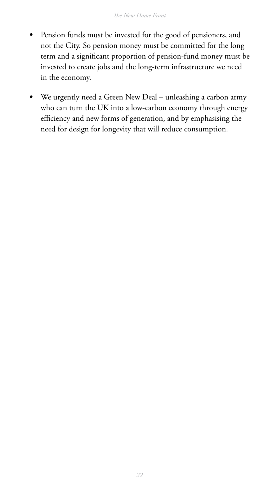- Pension funds must be invested for the good of pensioners, and not the City. So pension money must be committed for the long term and a significant proportion of pension-fund money must be invested to create jobs and the long-term infrastructure we need in the economy.
- We urgently need a Green New Deal unleashing a carbon army who can turn the UK into a low-carbon economy through energy efficiency and new forms of generation, and by emphasising the need for design for longevity that will reduce consumption.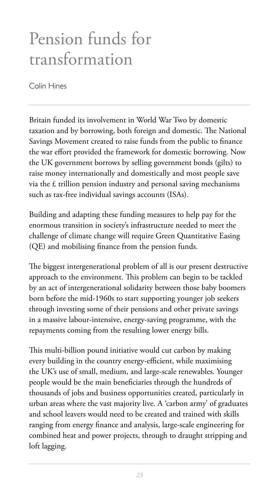# Pension funds for transformation

Colin Hines

Britain funded its involvement in World War Two by domestic taxation and by borrowing, both foreign and domestic. The National Savings Movement created to raise funds from the public to finance the war effort provided the framework for domestic borrowing. Now the UK government borrows by selling government bonds (gilts) to raise money internationally and domestically and most people save via the  $\pm$  trillion pension industry and personal saving mechanisms such as tax-free individual savings accounts (ISAs).

Building and adapting these funding measures to help pay for the enormous transition in society's infrastructure needed to meet the challenge of climate change will require Green Quantitative Easing (QE) and mobilising finance from the pension funds.

The biggest intergenerational problem of all is our present destructive approach to the environment. This problem can begin to be tackled by an act of intergenerational solidarity between those baby boomers born before the mid-1960s to start supporting younger job seekers through investing some of their pensions and other private savings in a massive labour-intensive, energy-saving programme, with the repayments coming from the resulting lower energy bills.

This multi-billion pound initiative would cut carbon by making every building in the country energy-efficient, while maximising the UK's use of small, medium, and large-scale renewables. Younger people would be the main beneficiaries through the hundreds of thousands of jobs and business opportunities created, particularly in urban areas where the vast majority live. A 'carbon army' of graduates and school leavers would need to be created and trained with skills ranging from energy finance and analysis, large-scale engineering for combined heat and power projects, through to draught stripping and loft lagging.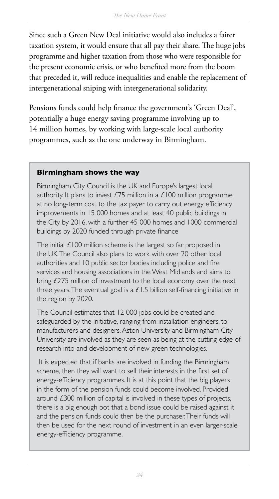Since such a Green New Deal initiative would also includes a fairer taxation system, it would ensure that all pay their share. The huge jobs programme and higher taxation from those who were responsible for the present economic crisis, or who benefited more from the boom that preceded it, will reduce inequalities and enable the replacement of intergenerational sniping with intergenerational solidarity.

Pensions funds could help finance the government's 'Green Deal', potentially a huge energy saving programme involving up to 14 million homes, by working with large-scale local authority programmes, such as the one underway in Birmingham.

#### **Birmingham shows the way**

Birmingham City Council is the UK and Europe's largest local authority. It plans to invest  $E/5$  million in a  $E100$  million programme at no long-term cost to the tax payer to carry out energy efficiency improvements in 15 000 homes and at least 40 public buildings in the City by 2016, with a further 45 000 homes and 1000 commercial buildings by 2020 funded through private finance

The initial  $£100$  million scheme is the largest so far proposed in the UK. The Council also plans to work with over 20 other local authorities and 10 public sector bodies including police and fire services and housing associations in the West Midlands and aims to bring £275 million of investment to the local economy over the next three years. The eventual goal is a  $£1.5$  billion self-financing initiative in the region by 2020.

The Council estimates that 12 000 jobs could be created and safeguarded by the initiative, ranging from installation engineers, to manufacturers and designers. Aston University and Birmingham City University are involved as they are seen as being at the cutting edge of research into and development of new green technologies.

It is expected that if banks are involved in funding the Birmingham scheme, then they will want to sell their interests in the first set of energy-efficiency programmes. It is at this point that the big players in the form of the pension funds could become involved. Provided around £300 million of capital is involved in these types of projects, there is a big enough pot that a bond issue could be raised against it and the pension funds could then be the purchaser. Their funds will then be used for the next round of investment in an even larger-scale energy-efficiency programme.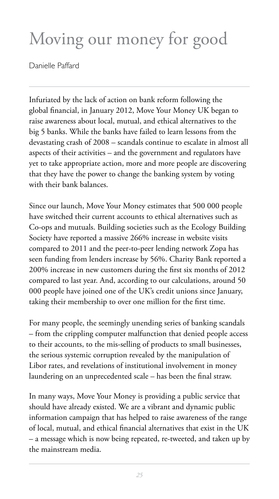# Moving our money for good

Danielle Paffard

Infuriated by the lack of action on bank reform following the global financial, in January 2012, Move Your Money UK began to raise awareness about local, mutual, and ethical alternatives to the big 5 banks. While the banks have failed to learn lessons from the devastating crash of 2008 – scandals continue to escalate in almost all aspects of their activities – and the government and regulators have yet to take appropriate action, more and more people are discovering that they have the power to change the banking system by voting with their bank balances.

Since our launch, Move Your Money estimates that 500 000 people have switched their current accounts to ethical alternatives such as Co-ops and mutuals. Building societies such as the Ecology Building Society have reported a massive 266% increase in website visits compared to 2011 and the peer-to-peer lending network Zopa has seen funding from lenders increase by 56%. Charity Bank reported a 200% increase in new customers during the first six months of 2012 compared to last year. And, according to our calculations, around 50 000 people have joined one of the UK's credit unions since January, taking their membership to over one million for the first time.

For many people, the seemingly unending series of banking scandals – from the crippling computer malfunction that denied people access to their accounts, to the mis-selling of products to small businesses, the serious systemic corruption revealed by the manipulation of Libor rates, and revelations of institutional involvement in money laundering on an unprecedented scale – has been the final straw.

In many ways, Move Your Money is providing a public service that should have already existed. We are a vibrant and dynamic public information campaign that has helped to raise awareness of the range of local, mutual, and ethical financial alternatives that exist in the UK – a message which is now being repeated, re-tweeted, and taken up by the mainstream media.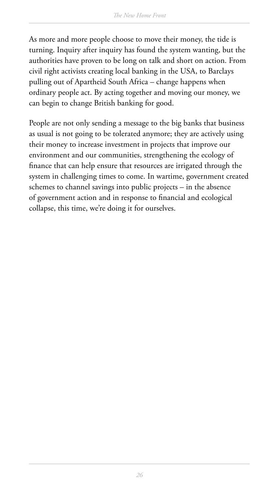As more and more people choose to move their money, the tide is turning. Inquiry after inquiry has found the system wanting, but the authorities have proven to be long on talk and short on action. From civil right activists creating local banking in the USA, to Barclays pulling out of Apartheid South Africa – change happens when ordinary people act. By acting together and moving our money, we can begin to change British banking for good.

People are not only sending a message to the big banks that business as usual is not going to be tolerated anymore; they are actively using their money to increase investment in projects that improve our environment and our communities, strengthening the ecology of finance that can help ensure that resources are irrigated through the system in challenging times to come. In wartime, government created schemes to channel savings into public projects – in the absence of government action and in response to financial and ecological collapse, this time, we're doing it for ourselves.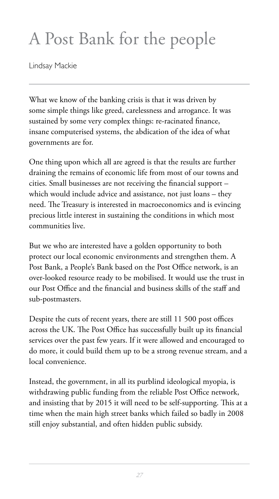# A Post Bank for the people

Lindsay Mackie

What we know of the banking crisis is that it was driven by some simple things like greed, carelessness and arrogance. It was sustained by some very complex things: re-racinated finance, insane computerised systems, the abdication of the idea of what governments are for.

One thing upon which all are agreed is that the results are further draining the remains of economic life from most of our towns and cities. Small businesses are not receiving the financial support  $$ which would include advice and assistance, not just loans – they need. The Treasury is interested in macroeconomics and is evincing precious little interest in sustaining the conditions in which most communities live.

But we who are interested have a golden opportunity to both protect our local economic environments and strengthen them. A Post Bank, a People's Bank based on the Post Office network, is an over-looked resource ready to be mobilised. It would use the trust in our Post Office and the financial and business skills of the staff and sub-postmasters.

Despite the cuts of recent years, there are still 11 500 post offices across the UK. The Post Office has successfully built up its financial services over the past few years. If it were allowed and encouraged to do more, it could build them up to be a strong revenue stream, and a local convenience.

Instead, the government, in all its purblind ideological myopia, is withdrawing public funding from the reliable Post Office network, and insisting that by 2015 it will need to be self-supporting. This at a time when the main high street banks which failed so badly in 2008 still enjoy substantial, and often hidden public subsidy.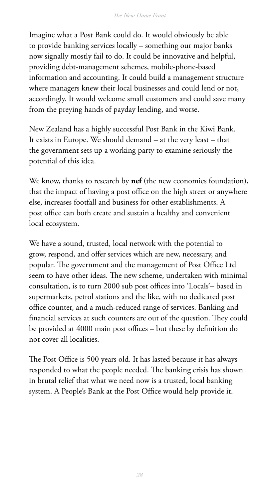Imagine what a Post Bank could do. It would obviously be able to provide banking services locally – something our major banks now signally mostly fail to do. It could be innovative and helpful, providing debt-management schemes, mobile-phone-based information and accounting. It could build a management structure where managers knew their local businesses and could lend or not, accordingly. It would welcome small customers and could save many from the preying hands of payday lending, and worse.

New Zealand has a highly successful Post Bank in the Kiwi Bank. It exists in Europe. We should demand – at the very least – that the government sets up a working party to examine seriously the potential of this idea.

We know, thanks to research by **nef** (the new economics foundation), that the impact of having a post office on the high street or anywhere else, increases footfall and business for other establishments. A post office can both create and sustain a healthy and convenient local ecosystem.

We have a sound, trusted, local network with the potential to grow, respond, and offer services which are new, necessary, and popular. The government and the management of Post Office Ltd seem to have other ideas. The new scheme, undertaken with minimal consultation, is to turn 2000 sub post offices into 'Locals'- based in supermarkets, petrol stations and the like, with no dedicated post office counter, and a much-reduced range of services. Banking and financial services at such counters are out of the question. They could be provided at 4000 main post offices – but these by definition do not cover all localities.

The Post Office is 500 years old. It has lasted because it has always responded to what the people needed. The banking crisis has shown in brutal relief that what we need now is a trusted, local banking system. A People's Bank at the Post Office would help provide it.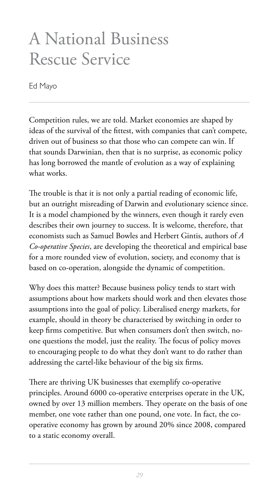# A National Business Rescue Service

Ed Mayo

Competition rules, we are told. Market economies are shaped by ideas of the survival of the fittest, with companies that can't compete, driven out of business so that those who can compete can win. If that sounds Darwinian, then that is no surprise, as economic policy has long borrowed the mantle of evolution as a way of explaining what works.

The trouble is that it is not only a partial reading of economic life, but an outright misreading of Darwin and evolutionary science since. It is a model championed by the winners, even though it rarely even describes their own journey to success. It is welcome, therefore, that economists such as Samuel Bowles and Herbert Gintis, authors of *A Co-operative Species*, are developing the theoretical and empirical base for a more rounded view of evolution, society, and economy that is based on co-operation, alongside the dynamic of competition.

Why does this matter? Because business policy tends to start with assumptions about how markets should work and then elevates those assumptions into the goal of policy. Liberalised energy markets, for example, should in theory be characterised by switching in order to keep firms competitive. But when consumers don't then switch, noone questions the model, just the reality. The focus of policy moves to encouraging people to do what they don't want to do rather than addressing the cartel-like behaviour of the big six firms.

There are thriving UK businesses that exemplify co-operative principles. Around 6000 co-operative enterprises operate in the UK, owned by over 13 million members. They operate on the basis of one member, one vote rather than one pound, one vote. In fact, the cooperative economy has grown by around 20% since 2008, compared to a static economy overall.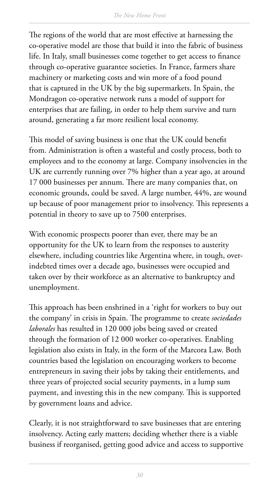The regions of the world that are most effective at harnessing the co-operative model are those that build it into the fabric of business life. In Italy, small businesses come together to get access to finance through co-operative guarantee societies. In France, farmers share machinery or marketing costs and win more of a food pound that is captured in the UK by the big supermarkets. In Spain, the Mondragon co-operative network runs a model of support for enterprises that are failing, in order to help them survive and turn around, generating a far more resilient local economy.

This model of saving business is one that the UK could benefit from. Administration is often a wasteful and costly process, both to employees and to the economy at large. Company insolvencies in the UK are currently running over 7% higher than a year ago, at around 17 000 businesses per annum. There are many companies that, on economic grounds, could be saved. A large number, 44%, are wound up because of poor management prior to insolvency. This represents a potential in theory to save up to 7500 enterprises.

With economic prospects poorer than ever, there may be an opportunity for the UK to learn from the responses to austerity elsewhere, including countries like Argentina where, in tough, overindebted times over a decade ago, businesses were occupied and taken over by their workforce as an alternative to bankruptcy and unemployment.

This approach has been enshrined in a 'right for workers to buy out the company' in crisis in Spain. The programme to create *sociedades laborales* has resulted in 120 000 jobs being saved or created through the formation of 12 000 worker co-operatives. Enabling legislation also exists in Italy, in the form of the Marcora Law. Both countries based the legislation on encouraging workers to become entrepreneurs in saving their jobs by taking their entitlements, and three years of projected social security payments, in a lump sum payment, and investing this in the new company. This is supported by government loans and advice.

Clearly, it is not straightforward to save businesses that are entering insolvency. Acting early matters; deciding whether there is a viable business if reorganised, getting good advice and access to supportive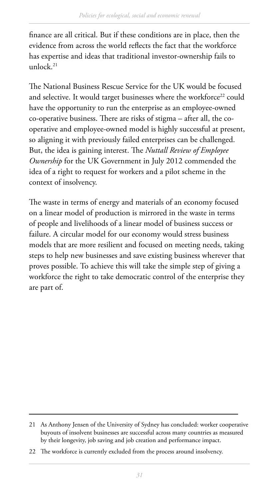finance are all critical. But if these conditions are in place, then the evidence from across the world reflects the fact that the workforce has expertise and ideas that traditional investor-ownership fails to unlock.21

The National Business Rescue Service for the UK would be focused and selective. It would target businesses where the workforce<sup>22</sup> could have the opportunity to run the enterprise as an employee-owned co-operative business. There are risks of stigma – after all, the cooperative and employee-owned model is highly successful at present, so aligning it with previously failed enterprises can be challenged. But, the idea is gaining interest. The *Nuttall Review of Employee Ownership* for the UK Government in July 2012 commended the idea of a right to request for workers and a pilot scheme in the context of insolvency.

The waste in terms of energy and materials of an economy focused on a linear model of production is mirrored in the waste in terms of people and livelihoods of a linear model of business success or failure. A circular model for our economy would stress business models that are more resilient and focused on meeting needs, taking steps to help new businesses and save existing business wherever that proves possible. To achieve this will take the simple step of giving a workforce the right to take democratic control of the enterprise they are part of.

<sup>21</sup> As Anthony Jensen of the University of Sydney has concluded: worker cooperative buyouts of insolvent businesses are successful across many countries as measured by their longevity, job saving and job creation and performance impact.

<sup>22</sup> The workforce is currently excluded from the process around insolvency.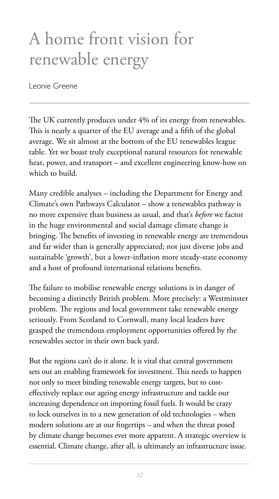# A home front vision for renewable energy

Leonie Greene

The UK currently produces under 4% of its energy from renewables. This is nearly a quarter of the EU average and a fifth of the global average. We sit almost at the bottom of the EU renewables league table. Yet we boast truly exceptional natural resources for renewable heat, power, and transport – and excellent engineering know-how on which to build.

Many credible analyses – including the Department for Energy and Climate's own Pathways Calculator – show a renewables pathway is no more expensive than business as usual, and that's *before* we factor in the huge environmental and social damage climate change is bringing. The benefits of investing in renewable energy are tremendous and far wider than is generally appreciated; not just diverse jobs and sustainable 'growth', but a lower-inflation more steady-state economy and a host of profound international relations benefits.

The failure to mobilise renewable energy solutions is in danger of becoming a distinctly British problem. More precisely: a Westminster problem. The regions and local government take renewable energy seriously. From Scotland to Cornwall, many local leaders have grasped the tremendous employment opportunities offered by the renewables sector in their own back yard.

But the regions can't do it alone. It is vital that central government sets out an enabling framework for investment. This needs to happen not only to meet binding renewable energy targets, but to costeffectively replace our ageing energy infrastructure and tackle our increasing dependence on importing fossil fuels. It would be crazy to lock ourselves in to a new generation of old technologies – when modern solutions are at our fingertips – and when the threat posed by climate change becomes ever more apparent. A strategic overview is essential. Climate change, after all, is ultimately an infrastructure issue.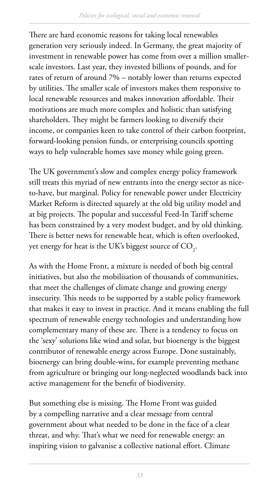There are hard economic reasons for taking local renewables generation very seriously indeed. In Germany, the great majority of investment in renewable power has come from over a million smallerscale investors. Last year, they invested billions of pounds, and for rates of return of around 7% – notably lower than returns expected by utilities. The smaller scale of investors makes them responsive to local renewable resources and makes innovation affordable. Their motivations are much more complex and holistic than satisfying shareholders. They might be farmers looking to diversify their income, or companies keen to take control of their carbon footprint, forward-looking pension funds, or enterprising councils spotting ways to help vulnerable homes save money while going green.

The UK government's slow and complex energy policy framework still treats this myriad of new entrants into the energy sector as niceto-have, but marginal. Policy for renewable power under Electricity Market Reform is directed squarely at the old big utility model and at big projects. The popular and successful Feed-In Tariff scheme has been constrained by a very modest budget, and by old thinking. There is better news for renewable heat, which is often overlooked, yet energy for heat is the UK's biggest source of CO<sub>2</sub>.

As with the Home Front, a mixture is needed of both big central initiatives, but also the mobilisation of thousands of communities, that meet the challenges of climate change and growing energy insecurity. This needs to be supported by a stable policy framework that makes it easy to invest in practice. And it means enabling the full spectrum of renewable energy technologies and understanding how complementary many of these are. There is a tendency to focus on the 'sexy' solutions like wind and solar, but bioenergy is the biggest contributor of renewable energy across Europe. Done sustainably, bioenergy can bring double-wins, for example preventing methane from agriculture or bringing our long-neglected woodlands back into active management for the benefit of biodiversity.

But something else is missing. The Home Front was guided by a compelling narrative and a clear message from central government about what needed to be done in the face of a clear threat, and why. That's what we need for renewable energy: an inspiring vision to galvanise a collective national effort. Climate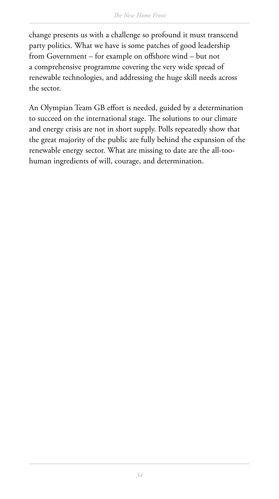change presents us with a challenge so profound it must transcend party politics. What we have is some patches of good leadership from Government – for example on offshore wind – but not a comprehensive programme covering the very wide spread of renewable technologies, and addressing the huge skill needs across the sector.

An Olympian Team GB effort is needed, guided by a determination to succeed on the international stage. The solutions to our climate and energy crisis are not in short supply. Polls repeatedly show that the great majority of the public are fully behind the expansion of the renewable energy sector. What are missing to date are the all-toohuman ingredients of will, courage, and determination.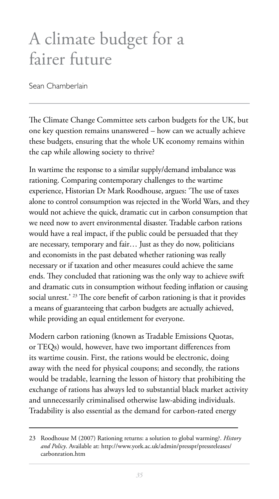# A climate budget for a fairer future

Sean Chamberlain

The Climate Change Committee sets carbon budgets for the UK, but one key question remains unanswered – how can we actually achieve these budgets, ensuring that the whole UK economy remains within the cap while allowing society to thrive?

In wartime the response to a similar supply/demand imbalance was rationing. Comparing contemporary challenges to the wartime experience, Historian Dr Mark Roodhouse, argues: 'The use of taxes alone to control consumption was rejected in the World Wars, and they would not achieve the quick, dramatic cut in carbon consumption that we need now to avert environmental disaster. Tradable carbon rations would have a real impact, if the public could be persuaded that they are necessary, temporary and fair… Just as they do now, politicians and economists in the past debated whether rationing was really necessary or if taxation and other measures could achieve the same ends. They concluded that rationing was the only way to achieve swift and dramatic cuts in consumption without feeding inflation or causing social unrest.' <sup>23</sup> The core benefit of carbon rationing is that it provides a means of guaranteeing that carbon budgets are actually achieved, while providing an equal entitlement for everyone.

Modern carbon rationing (known as Tradable Emissions Quotas, or TEQs) would, however, have two important differences from its wartime cousin. First, the rations would be electronic, doing away with the need for physical coupons; and secondly, the rations would be tradable, learning the lesson of history that prohibiting the exchange of rations has always led to substantial black market activity and unnecessarily criminalised otherwise law-abiding individuals. Tradability is also essential as the demand for carbon-rated energy

<sup>23</sup> Roodhouse M (2007) Rationing returns: a solution to global warming?. *History and Policy*. Available at: [http://www.york.ac.uk/admin/presspr/pressreleases/](http://www.york.ac.uk/admin/presspr/pressreleases/carbonration.htm) [carbonration.htm](http://www.york.ac.uk/admin/presspr/pressreleases/carbonration.htm)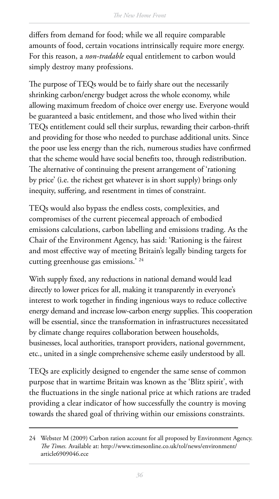differs from demand for food; while we all require comparable amounts of food, certain vocations intrinsically require more energy. For this reason, a *non-tradable* equal entitlement to carbon would simply destroy many professions.

The purpose of TEQs would be to fairly share out the necessarily shrinking carbon/energy budget across the whole economy, while allowing maximum freedom of choice over energy use. Everyone would be guaranteed a basic entitlement, and those who lived within their TEQs entitlement could sell their surplus, rewarding their carbon-thrift and providing for those who needed to purchase additional units. Since the poor use less energy than the rich, numerous studies have confirmed that the scheme would have social benefits too, through redistribution. The alternative of continuing the present arrangement of 'rationing by price' (i.e. the richest get whatever is in short supply) brings only inequity, suffering, and resentment in times of constraint.

TEQs would also bypass the endless costs, complexities, and compromises of the current piecemeal approach of embodied emissions calculations, carbon labelling and emissions trading. As the Chair of the Environment Agency, has said: 'Rationing is the fairest and most effective way of meeting Britain's legally binding targets for cutting greenhouse gas emissions.' 24

With supply fixed, any reductions in national demand would lead directly to lower prices for all, making it transparently in everyone's interest to work together in finding ingenious ways to reduce collective energy demand and increase low-carbon energy supplies. This cooperation will be essential, since the transformation in infrastructures necessitated by climate change requires collaboration between households, businesses, local authorities, transport providers, national government, etc., united in a single comprehensive scheme easily understood by all.

TEQs are explicitly designed to engender the same sense of common purpose that in wartime Britain was known as the 'Blitz spirit', with the fluctuations in the single national price at which rations are traded providing a clear indicator of how successfully the country is moving towards the shared goal of thriving within our emissions constraints.

<sup>24</sup> Webster M (2009) Carbon ration account for all proposed by Environment Agency. *The Times.* Available at: [http://www.timesonline.co.uk/tol/news/environment/](http://www.timesonline.co.uk/tol/news/environment/article6909046.ece) [article6909046.ece](http://www.timesonline.co.uk/tol/news/environment/article6909046.ece)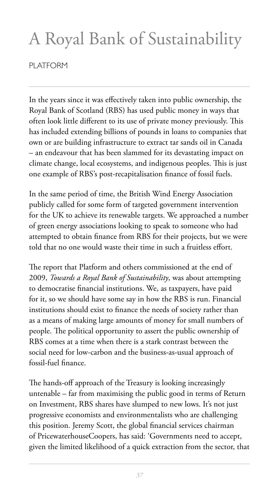# A Royal Bank of Sustainability

PI ATFORM

In the years since it was effectively taken into public ownership, the Royal Bank of Scotland (RBS) has used public money in ways that often look little different to its use of private money previously. This has included extending billions of pounds in loans to companies that own or are building infrastructure to extract tar sands oil in Canada – an endeavour that has been slammed for its devastating impact on climate change, local ecosystems, and indigenous peoples. This is just one example of RBS's post-recapitalisation finance of fossil fuels.

In the same period of time, the British Wind Energy Association publicly called for some form of targeted government intervention for the UK to achieve its renewable targets. We approached a number of green energy associations looking to speak to someone who had attempted to obtain finance from RBS for their projects, but we were told that no one would waste their time in such a fruitless effort.

The report that Platform and others commissioned at the end of 2009, *Towards a Royal Bank of Sustainability*, was about attempting to democratise financial institutions. We, as taxpayers, have paid for it, so we should have some say in how the RBS is run. Financial institutions should exist to finance the needs of society rather than as a means of making large amounts of money for small numbers of people. The political opportunity to assert the public ownership of RBS comes at a time when there is a stark contrast between the social need for low-carbon and the business-as-usual approach of fossil-fuel finance.

The hands-off approach of the Treasury is looking increasingly untenable – far from maximising the public good in terms of Return on Investment, RBS shares have slumped to new lows. It's not just progressive economists and environmentalists who are challenging this position. Jeremy Scott, the global financial services chairman of PricewaterhouseCoopers, has said: 'Governments need to accept, given the limited likelihood of a quick extraction from the sector, that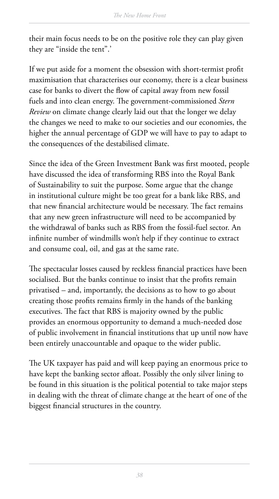their main focus needs to be on the positive role they can play given they are "inside the tent".'

If we put aside for a moment the obsession with short-termist profit maximisation that characterises our economy, there is a clear business case for banks to divert the flow of capital away from new fossil fuels and into clean energy. The government-commissioned *Stern Review* on climate change clearly laid out that the longer we delay the changes we need to make to our societies and our economies, the higher the annual percentage of GDP we will have to pay to adapt to the consequences of the destabilised climate.

Since the idea of the Green Investment Bank was first mooted, people have discussed the idea of transforming RBS into the Royal Bank of Sustainability to suit the purpose. Some argue that the change in institutional culture might be too great for a bank like RBS, and that new financial architecture would be necessary. The fact remains that any new green infrastructure will need to be accompanied by the withdrawal of banks such as RBS from the fossil-fuel sector. An infinite number of windmills won't help if they continue to extract and consume coal, oil, and gas at the same rate.

The spectacular losses caused by reckless financial practices have been socialised. But the banks continue to insist that the profits remain privatised – and, importantly, the decisions as to how to go about creating those profits remains firmly in the hands of the banking executives. The fact that RBS is majority owned by the public provides an enormous opportunity to demand a much-needed dose of public involvement in financial institutions that up until now have been entirely unaccountable and opaque to the wider public.

The UK taxpayer has paid and will keep paying an enormous price to have kept the banking sector afloat. Possibly the only silver lining to be found in this situation is the political potential to take major steps in dealing with the threat of climate change at the heart of one of the biggest financial structures in the country.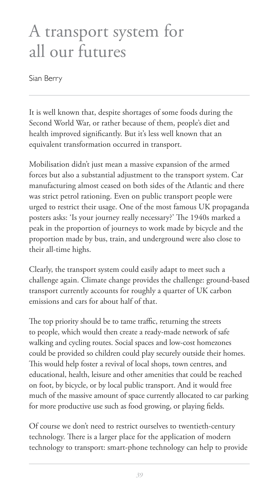# A transport system for all our futures

Sian Berry

It is well known that, despite shortages of some foods during the Second World War, or rather because of them, people's diet and health improved significantly. But it's less well known that an equivalent transformation occurred in transport.

Mobilisation didn't just mean a massive expansion of the armed forces but also a substantial adjustment to the transport system. Car manufacturing almost ceased on both sides of the Atlantic and there was strict petrol rationing. Even on public transport people were urged to restrict their usage. One of the most famous UK propaganda posters asks: 'Is your journey really necessary?' The 1940s marked a peak in the proportion of journeys to work made by bicycle and the proportion made by bus, train, and underground were also close to their all-time highs.

Clearly, the transport system could easily adapt to meet such a challenge again. Climate change provides the challenge: ground-based transport currently accounts for roughly a quarter of UK carbon emissions and cars for about half of that.

The top priority should be to tame traffic, returning the streets to people, which would then create a ready-made network of safe walking and cycling routes. Social spaces and low-cost homezones could be provided so children could play securely outside their homes. This would help foster a revival of local shops, town centres, and educational, health, leisure and other amenities that could be reached on foot, by bicycle, or by local public transport. And it would free much of the massive amount of space currently allocated to car parking for more productive use such as food growing, or playing fields.

Of course we don't need to restrict ourselves to twentieth-century technology. There is a larger place for the application of modern technology to transport: smart-phone technology can help to provide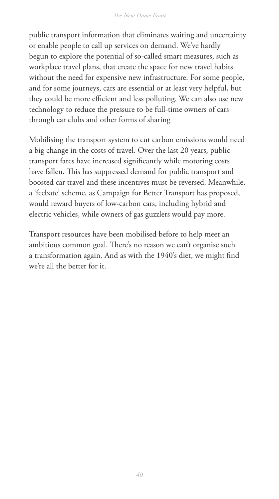public transport information that eliminates waiting and uncertainty or enable people to call up services on demand. We've hardly begun to explore the potential of so-called smart measures, such as workplace travel plans, that create the space for new travel habits without the need for expensive new infrastructure. For some people, and for some journeys, cars are essential or at least very helpful, but they could be more efficient and less polluting. We can also use new technology to reduce the pressure to be full-time owners of cars through car clubs and other forms of sharing

Mobilising the transport system to cut carbon emissions would need a big change in the costs of travel. Over the last 20 years, public transport fares have increased significantly while motoring costs have fallen. This has suppressed demand for public transport and boosted car travel and these incentives must be reversed. Meanwhile, a 'feebate' scheme, as Campaign for Better Transport has proposed, would reward buyers of low-carbon cars, including hybrid and electric vehicles, while owners of gas guzzlers would pay more.

Transport resources have been mobilised before to help meet an ambitious common goal. There's no reason we can't organise such a transformation again. And as with the 1940's diet, we might find we're all the better for it.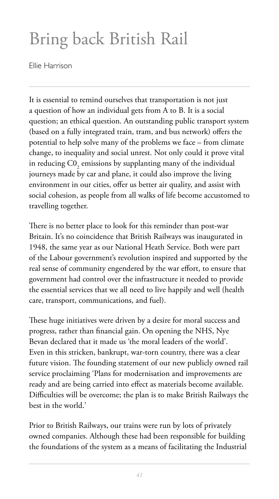# Bring back British Rail

Ellie Harrison

It is essential to remind ourselves that transportation is not just a question of how an individual gets from A to B. It is a social question; an ethical question. An outstanding public transport system (based on a fully integrated train, tram, and bus network) offers the potential to help solve many of the problems we face – from climate change, to inequality and social unrest. Not only could it prove vital in reducing  $\mathrm{C0}_2$  emissions by supplanting many of the individual journeys made by car and plane, it could also improve the living environment in our cities, offer us better air quality, and assist with social cohesion, as people from all walks of life become accustomed to travelling together.

There is no better place to look for this reminder than post-war Britain. It's no coincidence that British Railways was inaugurated in 1948, the same year as our National Heath Service. Both were part of the Labour government's revolution inspired and supported by the real sense of community engendered by the war effort, to ensure that government had control over the infrastructure it needed to provide the essential services that we all need to live happily and well (health care, transport, communications, and fuel).

These huge initiatives were driven by a desire for moral success and progress, rather than financial gain. On opening the NHS, Nye Bevan declared that it made us 'the moral leaders of the world'. Even in this stricken, bankrupt, war-torn country, there was a clear future vision. The founding statement of our new publicly owned rail service proclaiming 'Plans for modernisation and improvements are ready and are being carried into effect as materials become available. Difficulties will be overcome; the plan is to make British Railways the best in the world.'

Prior to British Railways, our trains were run by lots of privately owned companies. Although these had been responsible for building the foundations of the system as a means of facilitating the Industrial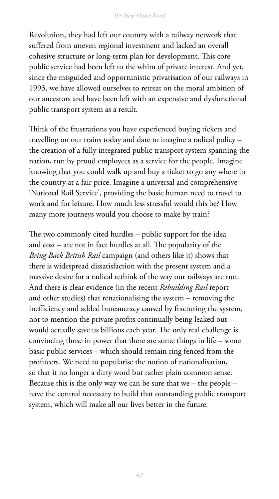Revolution, they had left our country with a railway network that suffered from uneven regional investment and lacked an overall cohesive structure or long-term plan for development. This core public service had been left to the whim of private interest. And yet, since the misguided and opportunistic privatisation of our railways in 1993, we have allowed ourselves to retreat on the moral ambition of our ancestors and have been left with an expensive and dysfunctional public transport system as a result.

Think of the frustrations you have experienced buying tickets and travelling on our trains today and dare to imagine a radical policy – the creation of a fully integrated public transport system spanning the nation, run by proud employees as a service for the people. Imagine knowing that you could walk up and buy a ticket to go any where in the country at a fair price. Imagine a universal and comprehensive 'National Rail Service', providing the basic human need to travel to work and for leisure. How much less stressful would this be? How many more journeys would you choose to make by train?

The two commonly cited hurdles – public support for the idea and  $cost - are not in fact hundreds at all. The popularity of the$ *Bring Back British Rail* campaign (and others like it) shows that there is widespread dissatisfaction with the present system and a massive desire for a radical rethink of the way our railways are run. And there is clear evidence (in the recent *Rebuilding Rail* report and other studies) that renationalising the system – removing the inefficiency and added bureaucracy caused by fracturing the system, not to mention the private profits continually being leaked out would actually save us billions each year. The only real challenge is convincing those in power that there are some things in life – some basic public services – which should remain ring fenced from the profiteers. We need to popularise the notion of nationalisation, so that it no longer a dirty word but rather plain common sense. Because this is the only way we can be sure that we – the people – have the control necessary to build that outstanding public transport system, which will make all our lives better in the future.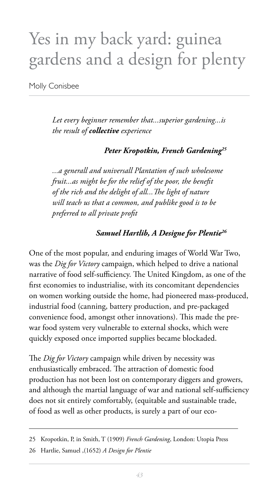# Yes in my back yard: guinea gardens and a design for plenty

Molly Conisbee

*Let every beginner remember that...superior gardening...is the result of collective experience* 

*Peter Kropotkin, French Gardening*<sup>25</sup>

*...a generall and universall Plantation of such wholesome fruit...as might be for the relief of the poor, the benefit* of the rich and the delight of all... The light of nature *will teach us that a common, and publike good is to be preferred to all private profit* 

#### *Samuel Hartlib, A Designe for Plentie<sup>26</sup>*

One of the most popular, and enduring images of World War Two, was the *Dig for Victory* campaign, which helped to drive a national narrative of food self-sufficiency. The United Kingdom, as one of the first economies to industrialise, with its concomitant dependencies on women working outside the home, had pioneered mass-produced, industrial food (canning, battery production, and pre-packaged convenience food, amongst other innovations). This made the prewar food system very vulnerable to external shocks, which were quickly exposed once imported supplies became blockaded.

The *Dig for Victory* campaign while driven by necessity was enthusiastically embraced. The attraction of domestic food production has not been lost on contemporary diggers and growers, and although the martial language of war and national self-sufficiency does not sit entirely comfortably, (equitable and sustainable trade, of food as well as other products, is surely a part of our eco-

<sup>25</sup> Kropotkin, P, in Smith, T (1909) *French Gardening*, London: Utopia Press

<sup>26</sup> Hartlie, Samuel ,(1652) *A Design for Plentie*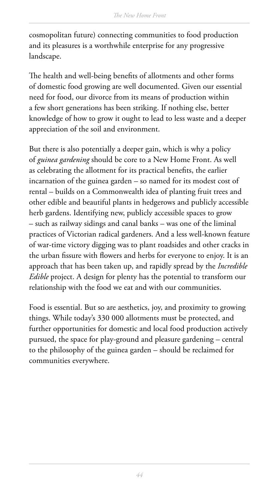cosmopolitan future) connecting communities to food production and its pleasures is a worthwhile enterprise for any progressive landscape.

The health and well-being benefits of allotments and other forms of domestic food growing are well documented. Given our essential need for food, our divorce from its means of production within a few short generations has been striking. If nothing else, better knowledge of how to grow it ought to lead to less waste and a deeper appreciation of the soil and environment.

But there is also potentially a deeper gain, which is why a policy of *guinea gardening* should be core to a New Home Front. As well as celebrating the allotment for its practical benefits, the earlier incarnation of the guinea garden – so named for its modest cost of rental – builds on a Commonwealth idea of planting fruit trees and other edible and beautiful plants in hedgerows and publicly accessible herb gardens. Identifying new, publicly accessible spaces to grow – such as railway sidings and canal banks – was one of the liminal practices of Victorian radical gardeners. And a less well-known feature of war-time victory digging was to plant roadsides and other cracks in the urban fissure with flowers and herbs for everyone to enjoy. It is an approach that has been taken up, and rapidly spread by the *Incredible Edible* project. A design for plenty has the potential to transform our relationship with the food we eat and with our communities.

Food is essential. But so are aesthetics, joy, and proximity to growing things. While today's 330 000 allotments must be protected, and further opportunities for domestic and local food production actively pursued, the space for play-ground and pleasure gardening – central to the philosophy of the guinea garden – should be reclaimed for communities everywhere.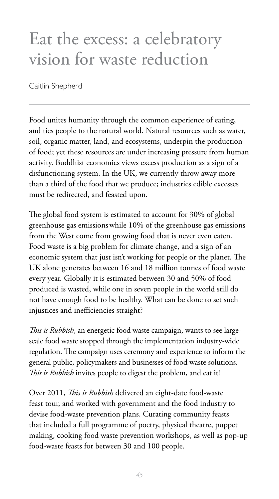### Eat the excess: a celebratory vision for waste reduction

Caitlin Shepherd

Food unites humanity through the common experience of eating, and ties people to the natural world. Natural resources such as water, soil, organic matter, land, and ecosystems, underpin the production of food; yet these resources are under increasing pressure from human activity. Buddhist economics views excess production as a sign of a disfunctioning system. In the UK, we currently throw away more than a third of the food that we produce; industries edible excesses must be redirected, and feasted upon.

The global food system is estimated to account for 30% of global greenhouse gas emissionswhile 10% of the greenhouse gas emissions from the West come from growing food that is never even eaten. Food waste is a big problem for climate change, and a sign of an economic system that just isn't working for people or the planet. The UK alone generates between 16 and 18 million tonnes of food waste every year. Globally it is estimated between 30 and 50% of food produced is wasted, while one in seven people in the world still do not have enough food to be healthy. What can be done to set such injustices and inefficiencies straight?

*This is Rubbish*, an energetic food waste campaign, wants to see largescale food waste stopped through the implementation industry-wide regulation. The campaign uses ceremony and experience to inform the general public, policymakers and businesses of food waste solutions*. !is is Rubbish* invites people to digest the problem, and eat it!

Over 2011, *This is Rubbish* delivered an eight-date food-waste feast tour, and worked with government and the food industry to devise food-waste prevention plans. Curating community feasts that included a full programme of poetry, physical theatre, puppet making, cooking food waste prevention workshops, as well as pop-up food-waste feasts for between 30 and 100 people.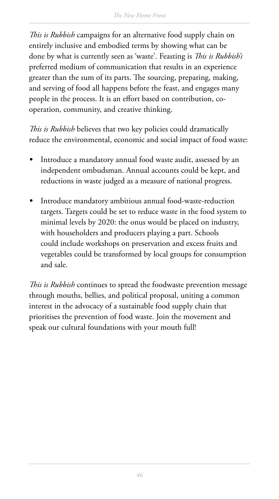This is Rubbish campaigns for an alternative food supply chain on entirely inclusive and embodied terms by showing what can be done by what is currently seen as 'waste'. Feasting is *This is Rubbish's* preferred medium of communication that results in an experience greater than the sum of its parts. The sourcing, preparing, making, and serving of food all happens before the feast, and engages many people in the process. It is an effort based on contribution, cooperation, community, and creative thinking.

This is Rubbish believes that two key policies could dramatically reduce the environmental, economic and social impact of food waste:

- *t* Introduce a mandatory annual food waste audit, assessed by an independent ombudsman. Annual accounts could be kept, and reductions in waste judged as a measure of national progress.
- *t* Introduce mandatory ambitious annual food-waste-reduction targets. Targets could be set to reduce waste in the food system to minimal levels by 2020: the onus would be placed on industry, with householders and producers playing a part. Schools could include workshops on preservation and excess fruits and vegetables could be transformed by local groups for consumption and sale.

*This is Rubbish* continues to spread the foodwaste prevention message through mouths, bellies, and political proposal, uniting a common interest in the advocacy of a sustainable food supply chain that prioritises the prevention of food waste. Join the movement and speak our cultural foundations with your mouth full!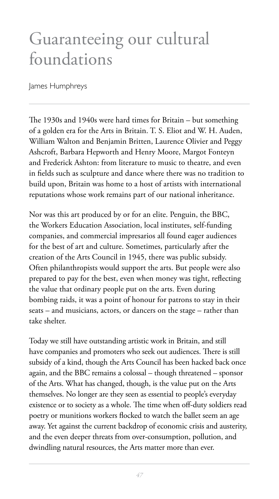### Guaranteeing our cultural foundations

James Humphreys

The 1930s and 1940s were hard times for Britain – but something of a golden era for the Arts in Britain. T. S. Eliot and W. H. Auden, William Walton and Benjamin Britten, Laurence Olivier and Peggy Ashcroft, Barbara Hepworth and Henry Moore, Margot Fonteyn and Frederick Ashton: from literature to music to theatre, and even in fields such as sculpture and dance where there was no tradition to build upon, Britain was home to a host of artists with international reputations whose work remains part of our national inheritance.

Nor was this art produced by or for an elite. Penguin, the BBC, the Workers Education Association, local institutes, self-funding companies, and commercial impresarios all found eager audiences for the best of art and culture. Sometimes, particularly after the creation of the Arts Council in 1945, there was public subsidy. Often philanthropists would support the arts. But people were also prepared to pay for the best, even when money was tight, reflecting the value that ordinary people put on the arts. Even during bombing raids, it was a point of honour for patrons to stay in their seats – and musicians, actors, or dancers on the stage – rather than take shelter.

Today we still have outstanding artistic work in Britain, and still have companies and promoters who seek out audiences. There is still subsidy of a kind, though the Arts Council has been hacked back once again, and the BBC remains a colossal – though threatened – sponsor of the Arts. What has changed, though, is the value put on the Arts themselves. No longer are they seen as essential to people's everyday existence or to society as a whole. The time when off-duty soldiers read poetry or munitions workers flocked to watch the ballet seem an age away. Yet against the current backdrop of economic crisis and austerity, and the even deeper threats from over-consumption, pollution, and dwindling natural resources, the Arts matter more than ever.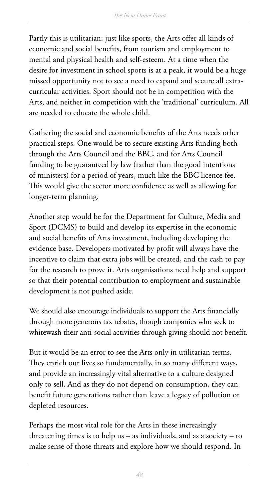Partly this is utilitarian: just like sports, the Arts offer all kinds of economic and social benefits, from tourism and employment to mental and physical health and self-esteem. At a time when the desire for investment in school sports is at a peak, it would be a huge missed opportunity not to see a need to expand and secure all extracurricular activities. Sport should not be in competition with the Arts, and neither in competition with the 'traditional' curriculum. All are needed to educate the whole child.

Gathering the social and economic benefits of the Arts needs other practical steps. One would be to secure existing Arts funding both through the Arts Council and the BBC, and for Arts Council funding to be guaranteed by law (rather than the good intentions of ministers) for a period of years, much like the BBC licence fee. This would give the sector more confidence as well as allowing for longer-term planning.

Another step would be for the Department for Culture, Media and Sport (DCMS) to build and develop its expertise in the economic and social benefits of Arts investment, including developing the evidence base. Developers motivated by profit will always have the incentive to claim that extra jobs will be created, and the cash to pay for the research to prove it. Arts organisations need help and support so that their potential contribution to employment and sustainable development is not pushed aside.

We should also encourage individuals to support the Arts financially through more generous tax rebates, though companies who seek to whitewash their anti-social activities through giving should not benefit.

But it would be an error to see the Arts only in utilitarian terms. They enrich our lives so fundamentally, in so many different ways, and provide an increasingly vital alternative to a culture designed only to sell. And as they do not depend on consumption, they can benefit future generations rather than leave a legacy of pollution or depleted resources.

Perhaps the most vital role for the Arts in these increasingly threatening times is to help us  $-$  as individuals, and as a society  $-$  to make sense of those threats and explore how we should respond. In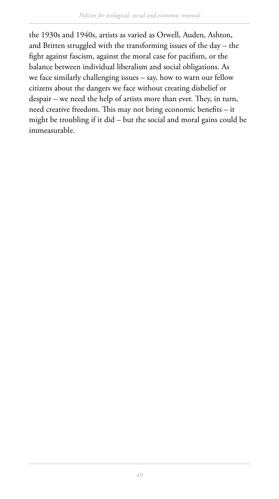the 1930s and 1940s, artists as varied as Orwell, Auden, Ashton, and Britten struggled with the transforming issues of the day – the fight against fascism, against the moral case for pacifism, or the balance between individual liberalism and social obligations. As we face similarly challenging issues – say, how to warn our fellow citizens about the dangers we face without creating disbelief or despair – we need the help of artists more than ever. They, in turn, need creative freedom. This may not bring economic benefits – it might be troubling if it did – but the social and moral gains could be immeasurable.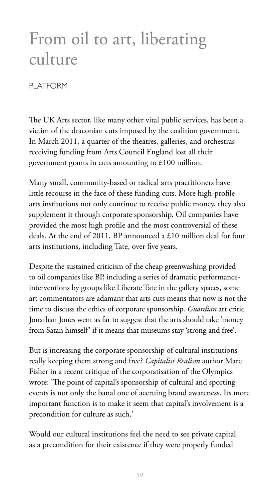# From oil to art, liberating culture

#### PLATFORM

The UK Arts sector, like many other vital public services, has been a victim of the draconian cuts imposed by the coalition government. In March 2011, a quarter of the theatres, galleries, and orchestras receiving funding from Arts Council England lost all their government grants in cuts amounting to £100 million.

Many small, community-based or radical arts practitioners have little recourse in the face of these funding cuts. More high-profile arts institutions not only continue to receive public money, they also supplement it through corporate sponsorship. Oil companies have provided the most high profile and the most controversial of these deals. At the end of 2011, BP announced a £10 million deal for four arts institutions, including Tate, over five years.

Despite the sustained criticism of the cheap greenwashing provided to oil companies like BP, including a series of dramatic performanceinterventions by groups like Liberate Tate in the gallery spaces, some art commentators are adamant that arts cuts means that now is not the time to discuss the ethics of corporate sponsorship. *Guardian* art critic Jonathan Jones went as far to suggest that the arts should take 'money from Satan himself' if it means that museums stay 'strong and free'.

But is increasing the corporate sponsorship of cultural institutions really keeping them strong and free? *Capitalist Realism* author Marc Fisher in a recent critique of the corporatisation of the Olympics wrote: 'The point of capital's sponsorship of cultural and sporting events is not only the banal one of accruing brand awareness. Its more important function is to make it seem that capital's involvement is a precondition for culture as such.'

Would our cultural institutions feel the need to see private capital as a precondition for their existence if they were properly funded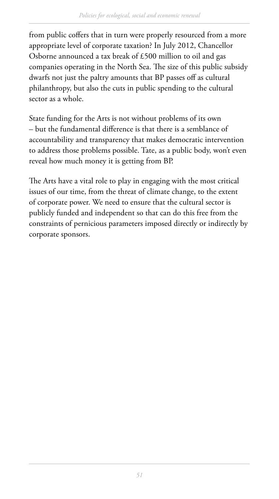from public coffers that in turn were properly resourced from a more appropriate level of corporate taxation? In July 2012, Chancellor Osborne announced a tax break of £500 million to oil and gas companies operating in the North Sea. The size of this public subsidy dwarfs not just the paltry amounts that BP passes off as cultural philanthropy, but also the cuts in public spending to the cultural sector as a whole.

State funding for the Arts is not without problems of its own – but the fundamental difference is that there is a semblance of accountability and transparency that makes democratic intervention to address those problems possible. Tate, as a public body, won't even reveal how much money it is getting from BP.

The Arts have a vital role to play in engaging with the most critical issues of our time, from the threat of climate change, to the extent of corporate power. We need to ensure that the cultural sector is publicly funded and independent so that can do this free from the constraints of pernicious parameters imposed directly or indirectly by corporate sponsors.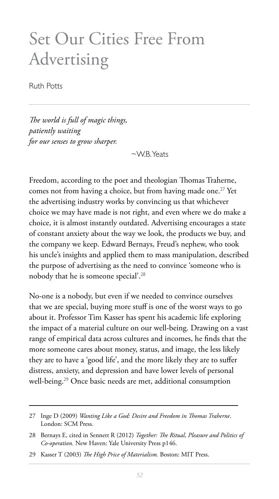### Set Our Cities Free From Advertising

Ruth Potts

*The world is full of magic things, patiently waiting for our senses to grow sharper.* 

 $\sim$ W.B. Yeats

Freedom, according to the poet and theologian Thomas Traherne, comes not from having a choice, but from having made one.<sup>27</sup> Yet the advertising industry works by convincing us that whichever choice we may have made is not right, and even where we do make a choice, it is almost instantly outdated. Advertising encourages a state of constant anxiety about the way we look, the products we buy, and the company we keep. Edward Bernays, Freud's nephew, who took his uncle's insights and applied them to mass manipulation, described the purpose of advertising as the need to convince 'someone who is nobody that he is someone special'.<sup>28</sup>

No-one is a nobody, but even if we needed to convince ourselves that we are special, buying more stuff is one of the worst ways to go about it. Professor Tim Kasser has spent his academic life exploring the impact of a material culture on our well-being. Drawing on a vast range of empirical data across cultures and incomes, he finds that the more someone cares about money, status, and image, the less likely they are to have a 'good life', and the more likely they are to suffer distress, anxiety, and depression and have lower levels of personal well-being.<sup>29</sup> Once basic needs are met, additional consumption

<sup>27</sup> Inge D (2009) *Wanting Like a God: Desire and Freedom in Thomas Traherne*. London: SCM Press.

<sup>28</sup> Bernays E, cited in Sennett R (2012) *Together: The Ritual, Pleasure and Politics of Co-operation.* New Haven: Yale University Press p146.

<sup>29</sup> Kasser T (2003) *The High Price of Materialism*. Boston: MIT Press.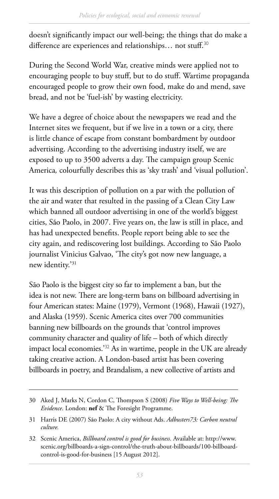doesn't significantly impact our well-being; the things that do make a difference are experiences and relationships... not stuff.<sup>30</sup>

During the Second World War, creative minds were applied not to encouraging people to buy stuff, but to do stuff. Wartime propaganda encouraged people to grow their own food, make do and mend, save bread, and not be 'fuel-ish' by wasting electricity.

We have a degree of choice about the newspapers we read and the Internet sites we frequent, but if we live in a town or a city, there is little chance of escape from constant bombardment by outdoor advertising. According to the advertising industry itself, we are exposed to up to 3500 adverts a day. The campaign group Scenic America*,* colourfully describes this as 'sky trash' and 'visual pollution'.

It was this description of pollution on a par with the pollution of the air and water that resulted in the passing of a Clean City Law which banned all outdoor advertising in one of the world's biggest cities, São Paolo, in 2007. Five years on, the law is still in place, and has had unexpected benefits. People report being able to see the city again, and rediscovering lost buildings. According to São Paolo journalist Vinicius Galvao, 'The city's got now new language, a new identity.'31

São Paolo is the biggest city so far to implement a ban, but the idea is not new. There are long-term bans on billboard advertising in four American states: Maine (1979), Vermont (1968), Hawaii (1927), and Alaska (1959). Scenic America cites over 700 communities banning new billboards on the grounds that 'control improves community character and quality of life – both of which directly impact local economies.'<sup>32</sup> As in wartime, people in the UK are already taking creative action. A London-based artist has been covering billboards in poetry, and Brandalism, a new collective of artists and

<sup>30</sup> Aked J, Marks N, Cordon C, Thompson S (2008) *Five Ways to Well-being: The Evidence*. London: **nef** & The Foresight Programme.

<sup>31</sup> Harris DE (2007) São Paolo: A city without Ads. *Adbusters73: Carbon neutral culture.*

<sup>32</sup> Scenic America, *Billboard control is good for business.* Available at: http://www. scenic.org/billboards-a-sign-control/the-truth-about-billboards/100-billboardcontrol-is-good-for-business [15 August 2012].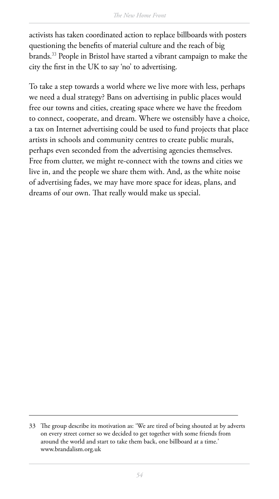activists has taken coordinated action to replace billboards with posters questioning the benefits of material culture and the reach of big brands.<sup>33</sup> People in Bristol have started a vibrant campaign to make the city the first in the UK to say 'no' to advertising.

To take a step towards a world where we live more with less, perhaps we need a dual strategy? Bans on advertising in public places would free our towns and cities, creating space where we have the freedom to connect, cooperate, and dream. Where we ostensibly have a choice, a tax on Internet advertising could be used to fund projects that place artists in schools and community centres to create public murals, perhaps even seconded from the advertising agencies themselves. Free from clutter, we might re-connect with the towns and cities we live in, and the people we share them with. And, as the white noise of advertising fades, we may have more space for ideas, plans, and dreams of our own. That really would make us special.

<sup>33</sup> The group describe its motivation as: 'We are tired of being shouted at by adverts on every street corner so we decided to get together with some friends from around the world and start to take them back, one billboard at a time.' www.brandalism.org.uk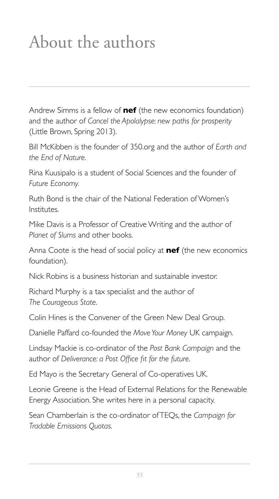# About the authors

Andrew Simms is a fellow of **nef** (the new economics foundation) and the author of *Cancel the Apolalypse: new paths for prosperity* (Little Brown, Spring 2013).

Bill McKibben is the founder of 350, org and the author of *Earth and the End of Nature.*

Rina Kuusipalo is a student of Social Sciences and the founder of *Future Economy.*

Ruth Bond is the chair of the National Federation of Women's Institutes.

Mike Davis is a Professor of Creative Writing and the author of *Planet of Slums* and other books.

Anna Coote is the head of social policy at **nef** (the new economics foundation).

Nick Robins is a business historian and sustainable investor.

Richard Murphy is a tax specialist and the author of *The Courageous State*.

Colin Hines is the Convener of the Green New Deal Group.

Danielle Paffard co-founded the Move Your Money UK campaign.

Lindsay Mackie is co-ordinator of the Post Bank Campaign and the author of *Deliverance: a Post Office fit for the future*.

Ed Mayo is the Secretary General of Co-operatives UK.

Leonie Greene is the Head of External Relations for the Renewable Energy Association. She writes here in a personal capacity.

Sean Chamberlain is the co-ordinator of TEQs, the Campaign for *Tradable Emissions Quotas*.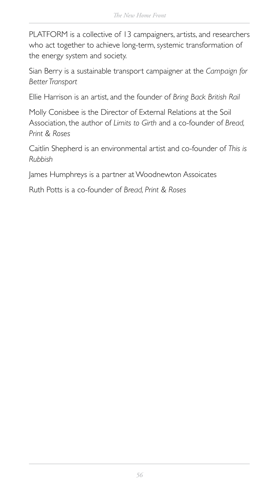PLATFORM is a collective of 13 campaigners, artists, and researchers who act together to achieve long-term, systemic transformation of the energy system and society.

Sian Berry is a sustainable transport campaigner at the Campaign for *Better Transport*

Ellie Harrison is an artist, and the founder of *Bring Back British Rail*

Molly Conisbee is the Director of External Relations at the Soil Association, the author of *Limits to Girth* and a co-founder of *Bread*, *Print & Roses*

Caitlin Shepherd is an environmental artist and co-founder of This is *Rubbish*

James Humphreys is a partner at Woodnewton Assoicates

Ruth Potts is a co-founder of Bread, Print & Roses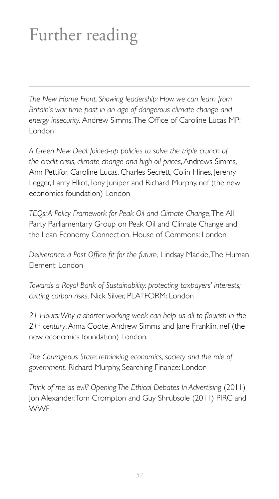# Further reading

*The New Home Front. Showing leadership: How we can learn from Britain's war time past in an age of dangerous climate change and*  energy insecurity, Andrew Simms, The Office of Caroline Lucas MP: London

*A Green New Deal: Joined-up policies to solve the triple crunch of the credit crisis, climate change and high oil prices*, Andrews Simms, Ann Pettifor, Caroline Lucas, Charles Secrett, Colin Hines, Jeremy Legger, Larry Elliot, Tony Juniper and Richard Murphy, nef (the new economics foundation) London

*TEQs: A Policy Framework for Peak Oil and Climate Change*, The All Party Parliamentary Group on Peak Oil and Climate Change and the Lean Economy Connection, House of Commons: London

Deliverance: a Post Office fit for the future, Lindsay Mackie, The Human Flement: London

*Towards a Royal Bank of Sustainability: protecting taxpayers' interests; cutting carbon risks, Nick Silver, PLATFORM: London* 

21 Hours: Why a shorter working week can help us all to flourish in the *21st century*, Anna Coote, Andrew Simms and Jane Franklin, nef (the new economics foundation) London.

*The Courageous State: rethinking economics, society and the role of*  government, Richard Murphy, Searching Finance: London

*Think of me as evil? Opening The Ethical Debates In Advertising (2011)* Jon Alexander, Tom Crompton and Guy Shrubsole (2011) PIRC and **WWF**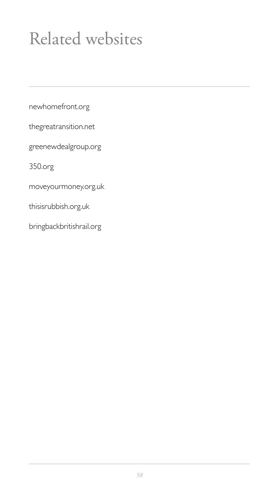# Related websites

newhomefront.org

thegreatransition.net

greenewdealgroup.org

350.org

moveyourmoney.org.uk

thisisrubbish.org.uk

bringbackbritishrail.org